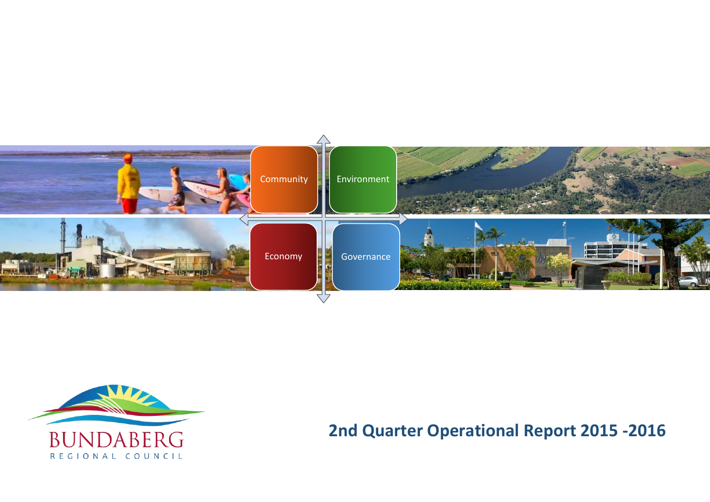



# **2nd Quarter Operational Report 2015 -2016**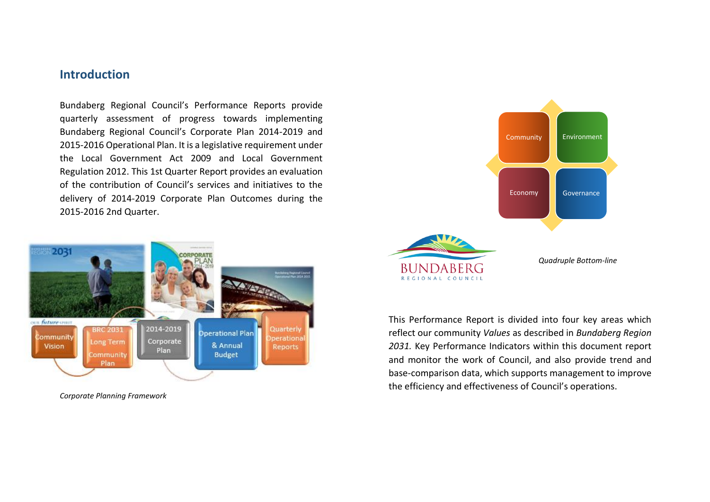### **Introduction**

Bundaberg Regional Council's Performance Reports provide quarterly assessment of progress towards implementing Bundaberg Regional Council's Corporate Plan 2014-2019 and 2015-2016 Operational Plan. It is a legislative requirement under the Local Government Act 2009 and Local Government Regulation 2012. This 1st Quarter Report provides an evaluation of the contribution of Council's services and initiatives to the delivery of 2014-2019 Corporate Plan Outcomes during the 2015-2016 2nd Quarter.



*Corporate Planning Framework* 



This Performance Report is divided into four key areas which reflect our community *Values* as described in *Bundaberg Region 2031.* Key Performance Indicators within this document report and monitor the work of Council, and also provide trend and base-comparison data, which supports management to improve the efficiency and effectiveness of Council's operations.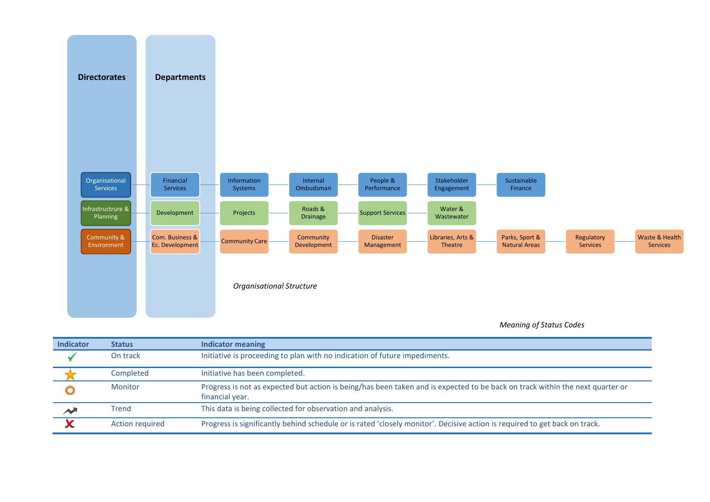

#### *Meaning of Status Codes*

| <b>Indicator</b>   | <b>Status</b>          | Indicator meaning                                                                                                                                |
|--------------------|------------------------|--------------------------------------------------------------------------------------------------------------------------------------------------|
|                    | On track               | Initiative is proceeding to plan with no indication of future impediments.                                                                       |
|                    | Completed              | Initiative has been completed.                                                                                                                   |
|                    | Monitor                | Progress is not as expected but action is being/has been taken and is expected to be back on track within the next quarter or<br>financial year. |
| $\rightsquigarrow$ | <b>Trend</b>           | This data is being collected for observation and analysis.                                                                                       |
|                    | <b>Action required</b> | Progress is significantly behind schedule or is rated 'closely monitor'. Decisive action is required to get back on track.                       |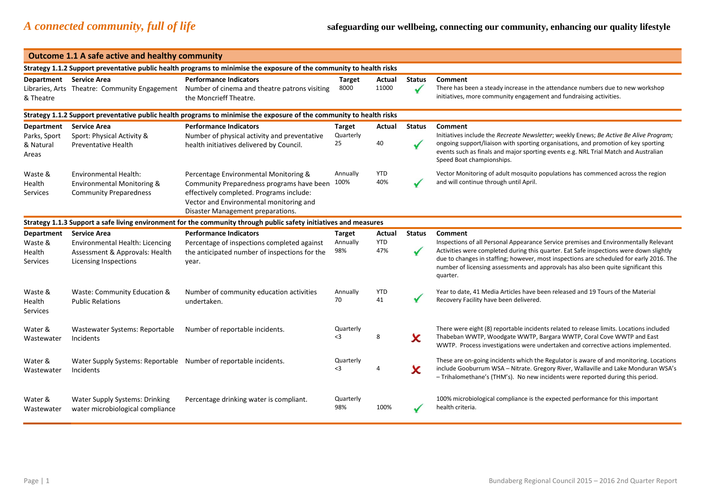| <b>Outcome 1.1 A safe active and healthy community</b>  |                                                                                                                          |                                                                                                                                                                                                                |                                  |                             |               |                                                                                                                                                                                                                                                                                                                                                                                        |  |  |  |  |
|---------------------------------------------------------|--------------------------------------------------------------------------------------------------------------------------|----------------------------------------------------------------------------------------------------------------------------------------------------------------------------------------------------------------|----------------------------------|-----------------------------|---------------|----------------------------------------------------------------------------------------------------------------------------------------------------------------------------------------------------------------------------------------------------------------------------------------------------------------------------------------------------------------------------------------|--|--|--|--|
|                                                         |                                                                                                                          | Strategy 1.1.2 Support preventative public health programs to minimise the exposure of the community to health risks                                                                                           |                                  |                             |               |                                                                                                                                                                                                                                                                                                                                                                                        |  |  |  |  |
| Department Service Area<br>& Theatre                    |                                                                                                                          | <b>Performance Indicators</b><br>Libraries, Arts Theatre: Community Engagement Number of cinema and theatre patrons visiting<br>the Moncrieff Theatre.                                                         | <b>Target</b><br>8000            | <b>Actual</b><br>11000      | <b>Status</b> | Comment<br>There has been a steady increase in the attendance numbers due to new workshop<br>initiatives, more community engagement and fundraising activities.                                                                                                                                                                                                                        |  |  |  |  |
|                                                         | Strategy 1.1.2 Support preventative public health programs to minimise the exposure of the community to health risks     |                                                                                                                                                                                                                |                                  |                             |               |                                                                                                                                                                                                                                                                                                                                                                                        |  |  |  |  |
| <b>Department</b><br>Parks, Sport<br>& Natural<br>Areas | <b>Service Area</b><br>Sport: Physical Activity &<br><b>Preventative Health</b>                                          | <b>Performance Indicators</b><br>Number of physical activity and preventative<br>health initiatives delivered by Council.                                                                                      | <b>Target</b><br>Quarterly<br>25 | Actual<br>40                | <b>Status</b> | Comment<br>Initiatives include the Recreate Newsletter; weekly Enews; Be Active Be Alive Program;<br>ongoing support/liaison with sporting organisations, and promotion of key sporting<br>events such as finals and major sporting events e.g. NRL Trial Match and Australian<br>Speed Boat championships.                                                                            |  |  |  |  |
| Waste &<br>Health<br>Services                           | <b>Environmental Health:</b><br>Environmental Monitoring &<br><b>Community Preparedness</b>                              | Percentage Environmental Monitoring &<br>Community Preparedness programs have been<br>effectively completed. Programs include:<br>Vector and Environmental monitoring and<br>Disaster Management preparations. | Annually<br>100%                 | <b>YTD</b><br>40%           |               | Vector Monitoring of adult mosquito populations has commenced across the region<br>and will continue through until April.                                                                                                                                                                                                                                                              |  |  |  |  |
|                                                         |                                                                                                                          | Strategy 1.1.3 Support a safe living environment for the community through public safety initiatives and measures                                                                                              |                                  |                             |               |                                                                                                                                                                                                                                                                                                                                                                                        |  |  |  |  |
| <b>Department</b><br>Waste &<br>Health<br>Services      | <b>Service Area</b><br>Environmental Health: Licencing<br>Assessment & Approvals: Health<br><b>Licensing Inspections</b> | <b>Performance Indicators</b><br>Percentage of inspections completed against<br>the anticipated number of inspections for the<br>year.                                                                         | <b>Target</b><br>Annually<br>98% | Actual<br><b>YTD</b><br>47% | <b>Status</b> | Comment<br>Inspections of all Personal Appearance Service premises and Environmentally Relevant<br>Activities were completed during this quarter. Eat Safe inspections were down slightly<br>due to changes in staffing; however, most inspections are scheduled for early 2016. The<br>number of licensing assessments and approvals has also been quite significant this<br>quarter. |  |  |  |  |
| Waste &<br>Health<br>Services                           | Waste: Community Education &<br><b>Public Relations</b>                                                                  | Number of community education activities<br>undertaken.                                                                                                                                                        | Annually<br>70                   | <b>YTD</b><br>41            |               | Year to date, 41 Media Articles have been released and 19 Tours of the Material<br>Recovery Facility have been delivered.                                                                                                                                                                                                                                                              |  |  |  |  |
| Water &<br>Wastewater                                   | Wastewater Systems: Reportable<br>Incidents                                                                              | Number of reportable incidents.                                                                                                                                                                                | Quarterly<br>$3$                 | 8                           | x             | There were eight (8) reportable incidents related to release limits. Locations included<br>Thabeban WWTP, Woodgate WWTP, Bargara WWTP, Coral Cove WWTP and East<br>WWTP. Process investigations were undertaken and corrective actions implemented.                                                                                                                                    |  |  |  |  |
| Water &<br>Wastewater                                   | Water Supply Systems: Reportable Number of reportable incidents.<br>Incidents                                            |                                                                                                                                                                                                                | Quarterly<br>$3$                 | 4                           | x             | These are on-going incidents which the Regulator is aware of and monitoring. Locations<br>include Gooburrum WSA - Nitrate. Gregory River, Wallaville and Lake Monduran WSA's<br>- Trihalomethane's (THM's). No new incidents were reported during this period.                                                                                                                         |  |  |  |  |
| Water &<br>Wastewater                                   | <b>Water Supply Systems: Drinking</b><br>water microbiological compliance                                                | Percentage drinking water is compliant.                                                                                                                                                                        | Quarterly<br>98%                 | 100%                        |               | 100% microbiological compliance is the expected performance for this important<br>health criteria.                                                                                                                                                                                                                                                                                     |  |  |  |  |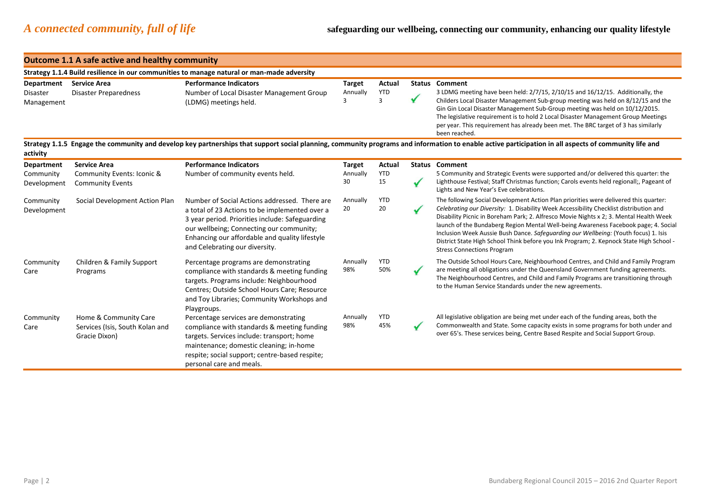#### **Outcome 1.1 A safe active and healthy community Strategy 1.1.4 Build resilience in our communities to manage natural or man-made adversity Department Service Area Performance Indicators Target Actual Status Comment**  YTD Disaster Disaster Preparedness Number of Local Disaster Management Group Annually 3 LDMG meeting have been held: 2/7/15, 2/10/15 and 16/12/15. Additionally, the 3 3 Childers Local Disaster Management Sub-group meeting was held on 8/12/15 and the Management (LDMG) meetings held. Gin Gin Local Disaster Management Sub-Group meeting was held on 10/12/2015. The legislative requirement is to hold 2 Local Disaster Management Group Meetings per year. This requirement has already been met. The BRC target of 3 has similarly been reached. **Strategy 1.1.5 Engage the community and develop key partnerships that support social planning, community programs and information to enable active participation in all aspects of community life and activity Department Service Area Performance Indicators Target Actual Status Comment**  Number of community events held. Annually YTD 5 Community and Strategic Events were supported and/or delivered this quarter: the Community Community Events: Iconic & 30 15 Lighthouse Festival; Staff Christmas function; Carols events held regionall;, Pageant of  $\checkmark$ Development Community Events Lights and New Year's Eve celebrations. YTD Social Development Action Plan Number of Social Actions addressed. There are Annually The following Social Development Action Plan priorities were delivered this quarter: Community 20 *Celebrating our Diversity:* 1. Disability Week Accessibility Checklist distribution and 20 Development a total of 23 Actions to be implemented over a Disability Picnic in Boreham Park; 2. Alfresco Movie Nights x 2; 3. Mental Health Week 3 year period. Priorities include: Safeguarding launch of the Bundaberg Region Mental Well-being Awareness Facebook page; 4. Social our wellbeing; Connecting our community; Inclusion Week Aussie Bush Dance. *Safeguarding our Wellbeing:* (Youth focus) 1. Isis Enhancing our affordable and quality lifestyle District State High School Think before you Ink Program; 2. Kepnock State High School and Celebrating our diversity. Stress Connections Program YTD The Outside School Hours Care, Neighbourhood Centres, and Child and Family Program Community Children & Family Support Percentage programs are demonstrating Annually 98% 50% are meeting all obligations under the Queensland Government funding agreements. Care compliance with standards & meeting funding Programs The Neighbourhood Centres, and Child and Family Programs are transitioning through targets. Programs include: Neighbourhood to the Human Service Standards under the new agreements. Centres; Outside School Hours Care; Resource and Toy Libraries; Community Workshops and Playgroups. YTD Community Home & Community Care Percentage services are demonstrating Annually All legislative obligation are being met under each of the funding areas, both the 98% 45% Commonwealth and State. Some capacity exists in some programs for both under and Care Services (Isis, South Kolan and compliance with standards & meeting funding over 65's. These services being, Centre Based Respite and Social Support Group.Gracie Dixon) targets. Services include: transport; home maintenance; domestic cleaning; in-home respite; social support; centre-based respite; personal care and meals.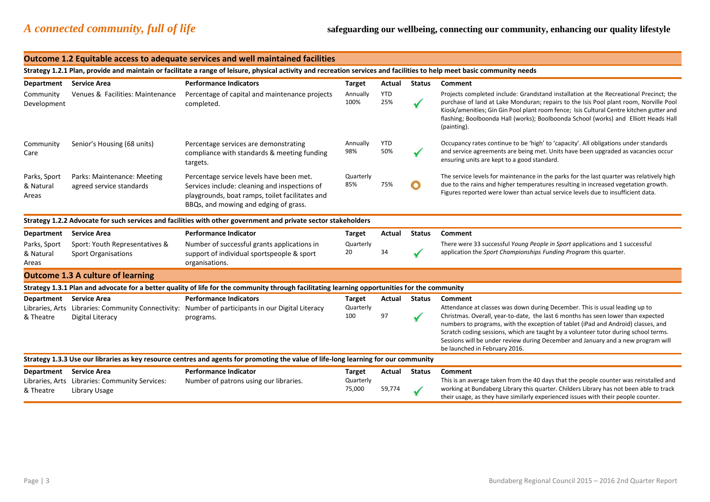#### **Outcome 1.2 Equitable access to adequate services and well maintained facilities Strategy 1.2.1 Plan, provide and maintain or facilitate a range of leisure, physical activity and recreation services and facilities to help meet basic community needs Department Service Area Performance Indicators Target Actual Status Comment**  Community Development Venues & Facilities: Maintenance Percentage of capital and maintenance projects completed. Annually 100% YTD 25% Projects completed include: Grandstand installation at the Recreational Precinct; the purchase of land at Lake Monduran; repairs to the Isis Pool plant room, Norville Pool Kiosk/amenities; Gin Gin Pool plant room fence; Isis Cultural Centre kitchen gutter and flashing; Boolboonda Hall (works); Boolboonda School (works) and Elliott Heads Hall (painting). **Community** Care Senior's Housing (68 units) Percentage services are demonstrating compliance with standards & meeting funding targets. Annually 98% YTD 50% Occupancy rates continue to be 'high' to 'capacity'. All obligations under standards and service agreements are being met. Units have been upgraded as vacancies occur ensuring units are kept to a good standard. Parks, Sport & Natural Areas Parks: Maintenance: Meeting agreed service standards Percentage service levels have been met. Services include: cleaning and inspections of playgrounds, boat ramps, toilet facilitates and BBQs, and mowing and edging of grass. **Quarterly** 85% 75% The service levels for maintenance in the parks for the last quarter was relatively high due to the rains and higher temperatures resulting in increased vegetation growth. Figures reported were lower than actual service levels due to insufficient data. **Strategy 1.2.2 Advocate for such services and facilities with other government and private sector stakeholders Department Service Area Performance Indicator Target Actual Status Comment**  Parks, Sport & Natural Areas Sport: Youth Representatives & Sport Organisations Number of successful grants applications in support of individual sportspeople & sport organisations. **Quarterly** 20 34 There were 33 successful *Young People in Sport* applications and 1 successful application the *Sport Championships Funding Program* this quarter. **Outcome 1.3 A culture of learning Strategy 1.3.1 Plan and advocate for a better quality of life for the community through facilitating learning opportunities for the community Department Service Area Performance Indicators Target Actual Status Comment**  Libraries, Arts Libraries: Community Connectivity: Number of participants in our Digital Literacy & Theatre Digital Literacy programs. **Quarterly** 100 97 Attendance at classes was down during December. This is usual leading up to Christmas. Overall, year-to-date, the last 6 months has seen lower than expected numbers to programs, with the exception of tablet (iPad and Android) classes, and Scratch coding sessions, which are taught by a volunteer tutor during school terms. Sessions will be under review during December and January and a new program will be launched in February 2016. **Strategy 1.3.3 Use our libraries as key resource centres and agents for promoting the value of life-long learning for our community Department Service Area Performance Indicator Target Actual Status Comment**  Libraries, Arts Libraries: Community Services: & Theatre Library Usage Number of patrons using our libraries. Quarterly 75,000 59,774 This is an average taken from the 40 days that the people counter was reinstalled and working at Bundaberg Library this quarter. Childers Library has not been able to track their usage, as they have similarly experienced issues with their people counter.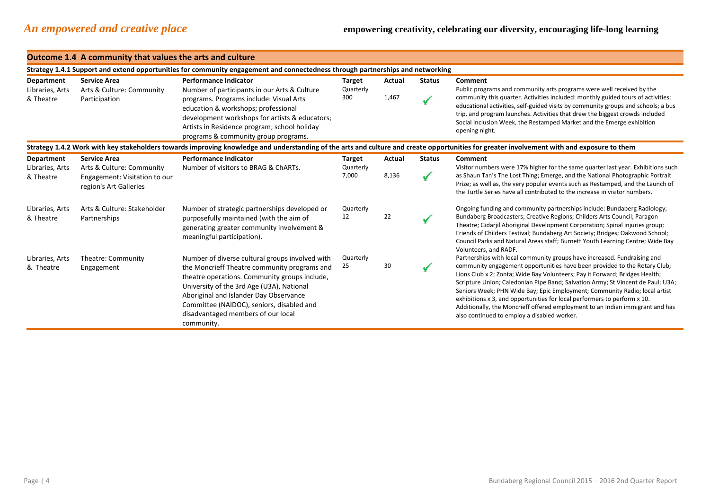|                               | Outcome 1.4 A community that values the arts and culture                                                                       |                                                                                                                                                                                                                                                                                                                                          |                            |                                                                                                                                                                                                                                                |               |                                                                                                                                                                                                                                                                                                                                                                                                                                                                                                                                                                                                                   |  |  |  |
|-------------------------------|--------------------------------------------------------------------------------------------------------------------------------|------------------------------------------------------------------------------------------------------------------------------------------------------------------------------------------------------------------------------------------------------------------------------------------------------------------------------------------|----------------------------|------------------------------------------------------------------------------------------------------------------------------------------------------------------------------------------------------------------------------------------------|---------------|-------------------------------------------------------------------------------------------------------------------------------------------------------------------------------------------------------------------------------------------------------------------------------------------------------------------------------------------------------------------------------------------------------------------------------------------------------------------------------------------------------------------------------------------------------------------------------------------------------------------|--|--|--|
|                               | Strategy 1.4.1 Support and extend opportunities for community engagement and connectedness through partnerships and networking |                                                                                                                                                                                                                                                                                                                                          |                            |                                                                                                                                                                                                                                                |               |                                                                                                                                                                                                                                                                                                                                                                                                                                                                                                                                                                                                                   |  |  |  |
| Department<br>Libraries, Arts | <b>Service Area</b><br>Arts & Culture: Community                                                                               | <b>Performance Indicator</b><br>Number of participants in our Arts & Culture                                                                                                                                                                                                                                                             | <b>Target</b><br>Quarterly | Actual                                                                                                                                                                                                                                         | <b>Status</b> | Comment<br>Public programs and community arts programs were well received by the                                                                                                                                                                                                                                                                                                                                                                                                                                                                                                                                  |  |  |  |
| & Theatre                     | Participation                                                                                                                  | programs. Programs include: Visual Arts<br>education & workshops; professional<br>development workshops for artists & educators;<br>Artists in Residence program; school holiday<br>programs & community group programs.                                                                                                                 | 300                        | 1,467                                                                                                                                                                                                                                          |               | community this quarter. Activities included: monthly guided tours of activities;<br>educational activities, self-guided visits by community groups and schools; a bus<br>trip, and program launches. Activities that drew the biggest crowds included<br>Social Inclusion Week, the Restamped Market and the Emerge exhibition<br>opening night.                                                                                                                                                                                                                                                                  |  |  |  |
|                               |                                                                                                                                |                                                                                                                                                                                                                                                                                                                                          |                            |                                                                                                                                                                                                                                                |               | Strategy 1.4.2 Work with key stakeholders towards improving knowledge and understanding of the arts and culture and create opportunities for greater involvement with and exposure to them                                                                                                                                                                                                                                                                                                                                                                                                                        |  |  |  |
| Department<br>Libraries, Arts | <b>Service Area</b><br>Arts & Culture: Community                                                                               | <b>Performance Indicator</b><br>Number of visitors to BRAG & ChARTs.                                                                                                                                                                                                                                                                     | <b>Target</b><br>Quarterly | Actual                                                                                                                                                                                                                                         | <b>Status</b> | Comment<br>Visitor numbers were 17% higher for the same quarter last year. Exhibitions such                                                                                                                                                                                                                                                                                                                                                                                                                                                                                                                       |  |  |  |
| & Theatre                     | Engagement: Visitation to our<br>region's Art Galleries                                                                        | 8,136<br>7,000                                                                                                                                                                                                                                                                                                                           |                            | as Shaun Tan's The Lost Thing; Emerge, and the National Photographic Portrait<br>Prize; as well as, the very popular events such as Restamped, and the Launch of<br>the Turtle Series have all contributed to the increase in visitor numbers. |               |                                                                                                                                                                                                                                                                                                                                                                                                                                                                                                                                                                                                                   |  |  |  |
| Libraries, Arts<br>& Theatre  | Arts & Culture: Stakeholder<br>Partnerships                                                                                    | Number of strategic partnerships developed or<br>purposefully maintained (with the aim of<br>generating greater community involvement &<br>meaningful participation).                                                                                                                                                                    | Quarterly<br>12            | 22                                                                                                                                                                                                                                             |               | Ongoing funding and community partnerships include: Bundaberg Radiology;<br>Bundaberg Broadcasters; Creative Regions; Childers Arts Council; Paragon<br>Theatre; Gidarjil Aboriginal Development Corporation; Spinal injuries group;<br>Friends of Childers Festival; Bundaberg Art Society; Bridges; Oakwood School;<br>Council Parks and Natural Areas staff; Burnett Youth Learning Centre; Wide Bay<br>Volunteers, and RADF.                                                                                                                                                                                  |  |  |  |
| Libraries, Arts<br>& Theatre  | Theatre: Community<br>Engagement                                                                                               | Number of diverse cultural groups involved with<br>the Moncrieff Theatre community programs and<br>theatre operations. Community groups include,<br>University of the 3rd Age (U3A), National<br>Aboriginal and Islander Day Observance<br>Committee (NAIDOC), seniors, disabled and<br>disadvantaged members of our local<br>community. | Quarterly<br>25            | 30                                                                                                                                                                                                                                             |               | Partnerships with local community groups have increased. Fundraising and<br>community engagement opportunities have been provided to the Rotary Club;<br>Lions Club x 2; Zonta; Wide Bay Volunteers; Pay it Forward; Bridges Health;<br>Scripture Union; Caledonian Pipe Band; Salvation Army; St Vincent de Paul; U3A;<br>Seniors Week; PHN Wide Bay; Epic Employment; Community Radio; local artist<br>exhibitions x 3, and opportunities for local performers to perform x 10.<br>Additionally, the Moncrieff offered employment to an Indian immigrant and has<br>also continued to employ a disabled worker. |  |  |  |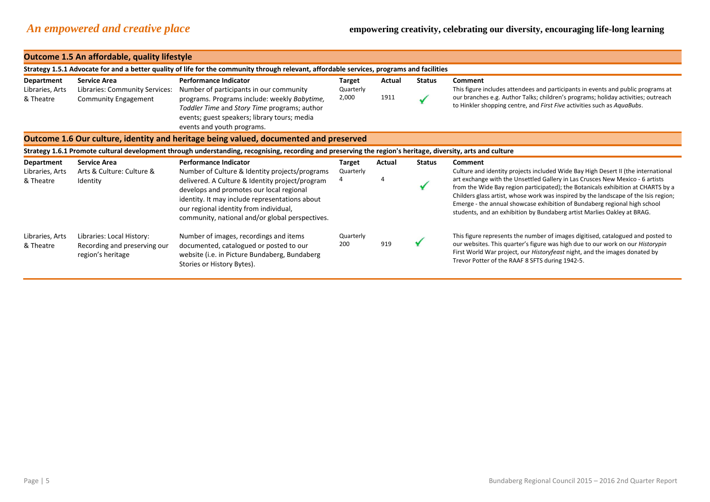|                               | <b>Outcome 1.5 An affordable, quality lifestyle</b>                            |                                                                                                                                                                                                                                                                                              |                            |        |               |                                                                                                                                                                                                                                                                                                                                                                                                                                                                                                       |  |  |
|-------------------------------|--------------------------------------------------------------------------------|----------------------------------------------------------------------------------------------------------------------------------------------------------------------------------------------------------------------------------------------------------------------------------------------|----------------------------|--------|---------------|-------------------------------------------------------------------------------------------------------------------------------------------------------------------------------------------------------------------------------------------------------------------------------------------------------------------------------------------------------------------------------------------------------------------------------------------------------------------------------------------------------|--|--|
|                               |                                                                                | Strategy 1.5.1 Advocate for and a better quality of life for the community through relevant, affordable services, programs and facilities                                                                                                                                                    |                            |        |               |                                                                                                                                                                                                                                                                                                                                                                                                                                                                                                       |  |  |
| Department<br>Libraries, Arts | <b>Service Area</b><br>Libraries: Community Services:                          | <b>Performance Indicator</b><br>Number of participants in our community                                                                                                                                                                                                                      | <b>Target</b><br>Quarterly | Actual | <b>Status</b> | <b>Comment</b><br>This figure includes attendees and participants in events and public programs at                                                                                                                                                                                                                                                                                                                                                                                                    |  |  |
| & Theatre                     | <b>Community Engagement</b>                                                    | programs. Programs include: weekly Babytime,<br>Toddler Time and Story Time programs; author<br>events; guest speakers; library tours; media<br>events and youth programs.                                                                                                                   | 2,000                      | 1911   |               | our branches e.g. Author Talks; children's programs; holiday activities; outreach<br>to Hinkler shopping centre, and First Five activities such as AquaBubs.                                                                                                                                                                                                                                                                                                                                          |  |  |
|                               |                                                                                | Outcome 1.6 Our culture, identity and heritage being valued, documented and preserved                                                                                                                                                                                                        |                            |        |               |                                                                                                                                                                                                                                                                                                                                                                                                                                                                                                       |  |  |
|                               |                                                                                | Strategy 1.6.1 Promote cultural development through understanding, recognising, recording and preserving the region's heritage, diversity, arts and culture                                                                                                                                  |                            |        |               |                                                                                                                                                                                                                                                                                                                                                                                                                                                                                                       |  |  |
| Department                    | <b>Service Area</b>                                                            | <b>Performance Indicator</b>                                                                                                                                                                                                                                                                 | Target                     | Actual | <b>Status</b> | <b>Comment</b>                                                                                                                                                                                                                                                                                                                                                                                                                                                                                        |  |  |
| Libraries, Arts<br>& Theatre  | Arts & Culture: Culture &<br>Identity                                          | Number of Culture & Identity projects/programs<br>delivered. A Culture & Identity project/program<br>develops and promotes our local regional<br>identity. It may include representations about<br>our regional identity from individual,<br>community, national and/or global perspectives. | Quarterly                  |        |               | Culture and identity projects included Wide Bay High Desert II (the international<br>art exchange with the Unsettled Gallery in Las Crusces New Mexico - 6 artists<br>from the Wide Bay region participated); the Botanicals exhibition at CHARTS by a<br>Childers glass artist, whose work was inspired by the landscape of the Isis region;<br>Emerge - the annual showcase exhibition of Bundaberg regional high school<br>students, and an exhibition by Bundaberg artist Marlies Oakley at BRAG. |  |  |
| Libraries, Arts<br>& Theatre  | Libraries: Local History:<br>Recording and preserving our<br>region's heritage | Number of images, recordings and items<br>documented, catalogued or posted to our<br>website (i.e. in Picture Bundaberg, Bundaberg<br>Stories or History Bytes).                                                                                                                             | Quarterly<br>200           | 919    |               | This figure represents the number of images digitised, catalogued and posted to<br>our websites. This quarter's figure was high due to our work on our <i>Historypin</i><br>First World War project, our Historyfeast night, and the images donated by<br>Trevor Potter of the RAAF 8 SFTS during 1942-5.                                                                                                                                                                                             |  |  |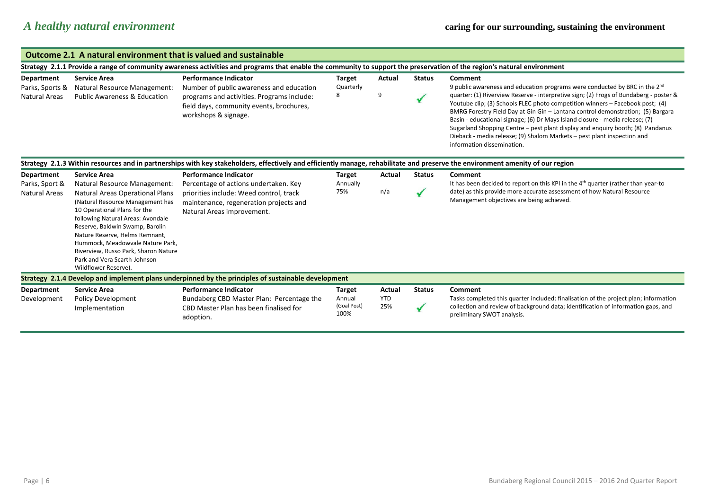| <b>Outcome 2.1 A natural environment that is valued and sustainable</b>                                                                                                 |                                                                                                                                                                                                                                                                                                                                                   |                                                                                                                                                                                                                |                                                |                             |               |                                                                                                                                                                                                                                                                                                                                                                                                                                                                                                                                      |  |  |
|-------------------------------------------------------------------------------------------------------------------------------------------------------------------------|---------------------------------------------------------------------------------------------------------------------------------------------------------------------------------------------------------------------------------------------------------------------------------------------------------------------------------------------------|----------------------------------------------------------------------------------------------------------------------------------------------------------------------------------------------------------------|------------------------------------------------|-----------------------------|---------------|--------------------------------------------------------------------------------------------------------------------------------------------------------------------------------------------------------------------------------------------------------------------------------------------------------------------------------------------------------------------------------------------------------------------------------------------------------------------------------------------------------------------------------------|--|--|
| Strategy 2.1.1 Provide a range of community awareness activities and programs that enable the community to support the preservation of the region's natural environment |                                                                                                                                                                                                                                                                                                                                                   |                                                                                                                                                                                                                |                                                |                             |               |                                                                                                                                                                                                                                                                                                                                                                                                                                                                                                                                      |  |  |
| <b>Department</b><br>Parks, Sports &                                                                                                                                    | <b>Service Area</b><br>Natural Resource Management:                                                                                                                                                                                                                                                                                               | <b>Performance Indicator</b><br>Number of public awareness and education                                                                                                                                       | <b>Target</b><br>Quarterly                     | Actual                      | <b>Status</b> | Comment<br>9 public awareness and education programs were conducted by BRC in the 2 <sup>nd</sup>                                                                                                                                                                                                                                                                                                                                                                                                                                    |  |  |
| <b>Natural Areas</b>                                                                                                                                                    | <b>Public Awareness &amp; Education</b>                                                                                                                                                                                                                                                                                                           | programs and activities. Programs include:<br>field days, community events, brochures,<br>workshops & signage.                                                                                                 | 8                                              | 9                           |               | quarter: (1) Riverview Reserve - interpretive sign; (2) Frogs of Bundaberg - poster &<br>Youtube clip; (3) Schools FLEC photo competition winners - Facebook post; (4)<br>BMRG Forestry Field Day at Gin Gin - Lantana control demonstration; (5) Bargara<br>Basin - educational signage; (6) Dr Mays Island closure - media release; (7)<br>Sugarland Shopping Centre – pest plant display and enquiry booth; (8) Pandanus<br>Dieback - media release; (9) Shalom Markets - pest plant inspection and<br>information dissemination. |  |  |
| <b>Department</b>                                                                                                                                                       | <b>Service Area</b>                                                                                                                                                                                                                                                                                                                               | Strategy 2.1.3 Within resources and in partnerships with key stakeholders, effectively and efficiently manage, rehabilitate and preserve the environment amenity of our region<br><b>Performance Indicator</b> | <b>Target</b>                                  | Actual                      | <b>Status</b> | Comment                                                                                                                                                                                                                                                                                                                                                                                                                                                                                                                              |  |  |
| Parks, Sport &                                                                                                                                                          | Natural Resource Management:                                                                                                                                                                                                                                                                                                                      | Percentage of actions undertaken. Key                                                                                                                                                                          | Annually                                       |                             |               | It has been decided to report on this KPI in the $4th$ quarter (rather than year-to                                                                                                                                                                                                                                                                                                                                                                                                                                                  |  |  |
| <b>Natural Areas</b>                                                                                                                                                    | Natural Areas Operational Plans<br>(Natural Resource Management has<br>10 Operational Plans for the<br>following Natural Areas: Avondale<br>Reserve, Baldwin Swamp, Barolin<br>Nature Reserve, Helms Remnant,<br>Hummock, Meadowvale Nature Park,<br>Riverview, Russo Park, Sharon Nature<br>Park and Vera Scarth-Johnson<br>Wildflower Reserve). | priorities include: Weed control, track<br>maintenance, regeneration projects and<br>Natural Areas improvement.                                                                                                | 75%                                            | n/a                         |               | date) as this provide more accurate assessment of how Natural Resource<br>Management objectives are being achieved.                                                                                                                                                                                                                                                                                                                                                                                                                  |  |  |
|                                                                                                                                                                         |                                                                                                                                                                                                                                                                                                                                                   | Strategy 2.1.4 Develop and implement plans underpinned by the principles of sustainable development                                                                                                            |                                                |                             |               |                                                                                                                                                                                                                                                                                                                                                                                                                                                                                                                                      |  |  |
| <b>Department</b><br>Development                                                                                                                                        | <b>Service Area</b><br><b>Policy Development</b><br>Implementation                                                                                                                                                                                                                                                                                | <b>Performance Indicator</b><br>Bundaberg CBD Master Plan: Percentage the<br>CBD Master Plan has been finalised for<br>adoption.                                                                               | <b>Target</b><br>Annual<br>(Goal Post)<br>100% | Actual<br><b>YTD</b><br>25% | <b>Status</b> | Comment<br>Tasks completed this quarter included: finalisation of the project plan; information<br>collection and review of background data; identification of information gaps, and<br>preliminary SWOT analysis.                                                                                                                                                                                                                                                                                                                   |  |  |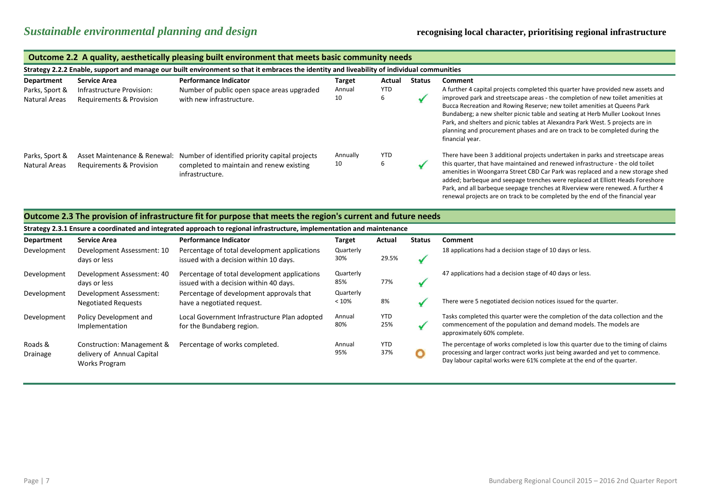|                                                      | Outcome 2.2 A quality, aesthetically pleasing built environment that meets basic community needs |                                                                                                                                            |                               |               |               |                                                                                                                                                                                                                                                                                                                                                                                                                                                                                                                                  |  |  |
|------------------------------------------------------|--------------------------------------------------------------------------------------------------|--------------------------------------------------------------------------------------------------------------------------------------------|-------------------------------|---------------|---------------|----------------------------------------------------------------------------------------------------------------------------------------------------------------------------------------------------------------------------------------------------------------------------------------------------------------------------------------------------------------------------------------------------------------------------------------------------------------------------------------------------------------------------------|--|--|
|                                                      |                                                                                                  | Strategy 2.2.2 Enable, support and manage our built environment so that it embraces the identity and liveability of individual communities |                               |               |               |                                                                                                                                                                                                                                                                                                                                                                                                                                                                                                                                  |  |  |
| Department<br>Parks, Sport &<br><b>Natural Areas</b> | <b>Service Area</b><br>Infrastructure Provision:<br>Requirements & Provision                     | <b>Performance Indicator</b><br>Number of public open space areas upgraded<br>with new infrastructure.                                     | <b>Target</b><br>Annual<br>10 | Actual<br>YTD | <b>Status</b> | Comment<br>A further 4 capital projects completed this quarter have provided new assets and<br>improved park and streetscape areas - the completion of new toilet amenities at<br>Bucca Recreation and Rowing Reserve; new toilet amenities at Queens Park<br>Bundaberg; a new shelter picnic table and seating at Herb Muller Lookout Innes<br>Park, and shelters and picnic tables at Alexandra Park West. 5 projects are in<br>planning and procurement phases and are on track to be completed during the<br>financial year. |  |  |
| Parks, Sport &<br><b>Natural Areas</b>               | Asset Maintenance & Renewal:<br>Requirements & Provision                                         | Number of identified priority capital projects<br>completed to maintain and renew existing<br>infrastructure.                              | Annually<br>10                | <b>YTD</b>    |               | There have been 3 additional projects undertaken in parks and streetscape areas<br>this quarter, that have maintained and renewed infrastructure - the old toilet<br>amenities in Woongarra Street CBD Car Park was replaced and a new storage shed<br>added; barbeque and seepage trenches were replaced at Elliott Heads Foreshore<br>Park, and all barbeque seepage trenches at Riverview were renewed. A further 4<br>renewal projects are on track to be completed by the end of the financial year                         |  |  |

#### **Outcome 2.3 The provision of infrastructure fit for purpose that meets the region's current and future needs**

| Strategy 2.3.1 Ensure a coordinated and integrated approach to regional infrastructure, implementation and maintenance |                                                                           |                                                                                        |                    |                   |               |                                                                                                                                                                                                                                            |  |
|------------------------------------------------------------------------------------------------------------------------|---------------------------------------------------------------------------|----------------------------------------------------------------------------------------|--------------------|-------------------|---------------|--------------------------------------------------------------------------------------------------------------------------------------------------------------------------------------------------------------------------------------------|--|
| <b>Department</b>                                                                                                      | <b>Service Area</b>                                                       | <b>Performance Indicator</b>                                                           | <b>Target</b>      | Actual            | <b>Status</b> | <b>Comment</b>                                                                                                                                                                                                                             |  |
| Development                                                                                                            | Development Assessment: 10<br>days or less                                | Percentage of total development applications<br>issued with a decision within 10 days. | Quarterly<br>30%   | 29.5%             |               | 18 applications had a decision stage of 10 days or less.                                                                                                                                                                                   |  |
| Development                                                                                                            | Development Assessment: 40<br>days or less                                | Percentage of total development applications<br>issued with a decision within 40 days. | Quarterly<br>85%   | 77%               |               | 47 applications had a decision stage of 40 days or less.                                                                                                                                                                                   |  |
| Development                                                                                                            | Development Assessment:<br><b>Negotiated Requests</b>                     | Percentage of development approvals that<br>have a negotiated request.                 | Quarterly<br>< 10% | 8%                |               | There were 5 negotiated decision notices issued for the quarter.                                                                                                                                                                           |  |
| Development                                                                                                            | Policy Development and<br>Implementation                                  | Local Government Infrastructure Plan adopted<br>for the Bundaberg region.              | Annual<br>80%      | <b>YTD</b><br>25% |               | Tasks completed this quarter were the completion of the data collection and the<br>commencement of the population and demand models. The models are<br>approximately 60% complete.                                                         |  |
| Roads &<br>Drainage                                                                                                    | Construction: Management &<br>delivery of Annual Capital<br>Works Program | Percentage of works completed.                                                         | Annual<br>95%      | <b>YTD</b><br>37% |               | The percentage of works completed is low this quarter due to the timing of claims<br>processing and larger contract works just being awarded and yet to commence.<br>Day labour capital works were 61% complete at the end of the quarter. |  |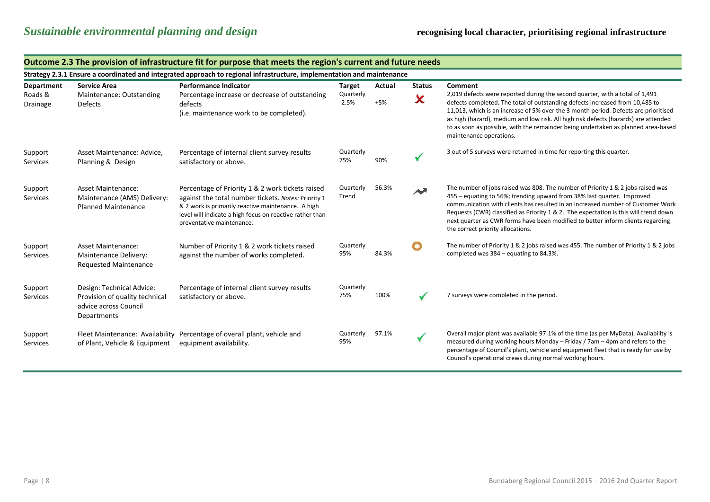|                     | Outcome 2.3 The provision of infrastructure fit for purpose that meets the region's current and future needs           |                                                                                                                                                                                                                                                        |                      |        |                        |                                                                                                                                                                                                                                                                                                                                                                                                                                                              |  |  |  |
|---------------------|------------------------------------------------------------------------------------------------------------------------|--------------------------------------------------------------------------------------------------------------------------------------------------------------------------------------------------------------------------------------------------------|----------------------|--------|------------------------|--------------------------------------------------------------------------------------------------------------------------------------------------------------------------------------------------------------------------------------------------------------------------------------------------------------------------------------------------------------------------------------------------------------------------------------------------------------|--|--|--|
|                     | Strategy 2.3.1 Ensure a coordinated and integrated approach to regional infrastructure, implementation and maintenance |                                                                                                                                                                                                                                                        |                      |        |                        |                                                                                                                                                                                                                                                                                                                                                                                                                                                              |  |  |  |
| <b>Department</b>   | <b>Service Area</b>                                                                                                    | <b>Performance Indicator</b>                                                                                                                                                                                                                           | Target               | Actual | <b>Status</b>          | Comment                                                                                                                                                                                                                                                                                                                                                                                                                                                      |  |  |  |
| Roads &<br>Drainage | Maintenance: Outstanding<br>Defects                                                                                    | Percentage increase or decrease of outstanding<br>defects<br>(i.e. maintenance work to be completed).                                                                                                                                                  | Quarterly<br>$-2.5%$ | $+5%$  | ×                      | 2,019 defects were reported during the second quarter, with a total of 1,491<br>defects completed. The total of outstanding defects increased from 10,485 to<br>11,013, which is an increase of 5% over the 3 month period. Defects are prioritised<br>as high (hazard), medium and low risk. All high risk defects (hazards) are attended<br>to as soon as possible, with the remainder being undertaken as planned area-based<br>maintenance operations.   |  |  |  |
| Support<br>Services | Asset Maintenance: Advice,<br>Planning & Design                                                                        | Percentage of internal client survey results<br>satisfactory or above.                                                                                                                                                                                 | Quarterly<br>75%     | 90%    |                        | 3 out of 5 surveys were returned in time for reporting this quarter.                                                                                                                                                                                                                                                                                                                                                                                         |  |  |  |
| Support<br>Services | <b>Asset Maintenance:</b><br>Maintenance (AMS) Delivery:<br><b>Planned Maintenance</b>                                 | Percentage of Priority 1 & 2 work tickets raised<br>against the total number tickets. Notes: Priority 1<br>& 2 work is primarily reactive maintenance. A high<br>level will indicate a high focus on reactive rather than<br>preventative maintenance. | Quarterly<br>Trend   | 56.3%  | $\boldsymbol{\lambda}$ | The number of jobs raised was 808. The number of Priority 1 & 2 jobs raised was<br>455 – equating to 56%; trending upward from 38% last quarter. Improved<br>communication with clients has resulted in an increased number of Customer Work<br>Requests (CWR) classified as Priority 1 & 2. The expectation is this will trend down<br>next quarter as CWR forms have been modified to better inform clients regarding<br>the correct priority allocations. |  |  |  |
| Support<br>Services | <b>Asset Maintenance:</b><br>Maintenance Delivery:<br><b>Requested Maintenance</b>                                     | Number of Priority 1 & 2 work tickets raised<br>against the number of works completed.                                                                                                                                                                 | Quarterly<br>95%     | 84.3%  | O                      | The number of Priority 1 & 2 jobs raised was 455. The number of Priority 1 & 2 jobs<br>completed was 384 - equating to 84.3%.                                                                                                                                                                                                                                                                                                                                |  |  |  |
| Support<br>Services | Design: Technical Advice:<br>Provision of quality technical<br>advice across Council<br>Departments                    | Percentage of internal client survey results<br>satisfactory or above.                                                                                                                                                                                 | Quarterly<br>75%     | 100%   |                        | 7 surveys were completed in the period.                                                                                                                                                                                                                                                                                                                                                                                                                      |  |  |  |
| Support<br>Services | of Plant, Vehicle & Equipment                                                                                          | Fleet Maintenance: Availability Percentage of overall plant, vehicle and<br>equipment availability.                                                                                                                                                    | Quarterly<br>95%     | 97.1%  | ✔                      | Overall major plant was available 97.1% of the time (as per MyData). Availability is<br>measured during working hours Monday - Friday / 7am - 4pm and refers to the<br>percentage of Council's plant, vehicle and equipment fleet that is ready for use by<br>Council's operational crews during normal working hours.                                                                                                                                       |  |  |  |

#### **Outcome 2.3 The provision of infrastructure fit for purpose that meets the region's current and future needs**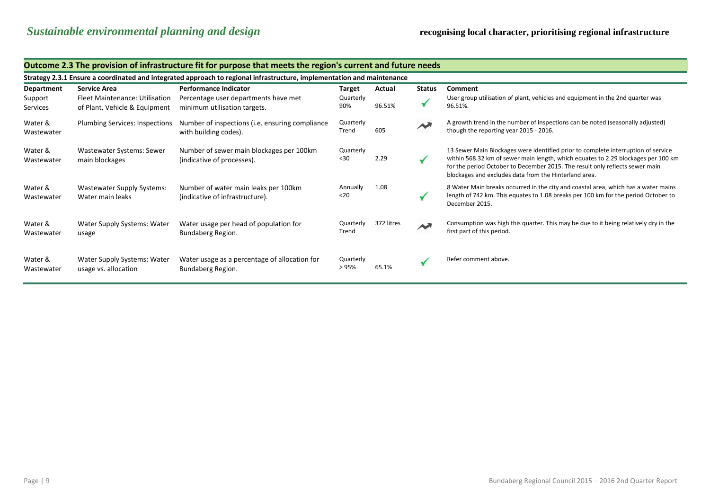|                       | Outcome 2.3 The provision of infrastructure fit for purpose that meets the region's current and future needs           |                                                                          |                    |            |               |                                                                                                                                                                                                                                                                                                                 |  |  |  |
|-----------------------|------------------------------------------------------------------------------------------------------------------------|--------------------------------------------------------------------------|--------------------|------------|---------------|-----------------------------------------------------------------------------------------------------------------------------------------------------------------------------------------------------------------------------------------------------------------------------------------------------------------|--|--|--|
|                       | Strategy 2.3.1 Ensure a coordinated and integrated approach to regional infrastructure, implementation and maintenance |                                                                          |                    |            |               |                                                                                                                                                                                                                                                                                                                 |  |  |  |
| Department            | <b>Service Area</b>                                                                                                    | <b>Performance Indicator</b>                                             | Target             | Actual     | <b>Status</b> | Comment                                                                                                                                                                                                                                                                                                         |  |  |  |
| Support<br>Services   | Fleet Maintenance: Utilisation<br>of Plant, Vehicle & Equipment                                                        | Percentage user departments have met<br>minimum utilisation targets.     | Quarterly<br>90%   | 96.51%     |               | User group utilisation of plant, vehicles and equipment in the 2nd quarter was<br>96.51%.                                                                                                                                                                                                                       |  |  |  |
| Water &<br>Wastewater | Plumbing Services: Inspections                                                                                         | Number of inspections (i.e. ensuring compliance<br>with building codes). | Quarterly<br>Trend | 605        |               | A growth trend in the number of inspections can be noted (seasonally adjusted)<br>though the reporting year 2015 - 2016.                                                                                                                                                                                        |  |  |  |
| Water &<br>Wastewater | Wastewater Systems: Sewer<br>main blockages                                                                            | Number of sewer main blockages per 100km<br>(indicative of processes).   | Quarterly<br>$30$  | 2.29       |               | 13 Sewer Main Blockages were identified prior to complete interruption of service<br>within 568.32 km of sewer main length, which equates to 2.29 blockages per 100 km<br>for the period October to December 2015. The result only reflects sewer main<br>blockages and excludes data from the Hinterland area. |  |  |  |
| Water &<br>Wastewater | <b>Wastewater Supply Systems:</b><br>Water main leaks                                                                  | Number of water main leaks per 100km<br>(indicative of infrastructure).  | Annually<br>$20$   | 1.08       |               | 8 Water Main breaks occurred in the city and coastal area, which has a water mains<br>length of 742 km. This equates to 1.08 breaks per 100 km for the period October to<br>December 2015.                                                                                                                      |  |  |  |
| Water &<br>Wastewater | Water Supply Systems: Water<br>usage                                                                                   | Water usage per head of population for<br>Bundaberg Region.              | Quarterly<br>Trend | 372 litres | $\rightarrow$ | Consumption was high this quarter. This may be due to it being relatively dry in the<br>first part of this period.                                                                                                                                                                                              |  |  |  |
| Water &<br>Wastewater | Water Supply Systems: Water<br>usage vs. allocation                                                                    | Water usage as a percentage of allocation for<br>Bundaberg Region.       | Quarterly<br>>95%  | 65.1%      |               | Refer comment above.                                                                                                                                                                                                                                                                                            |  |  |  |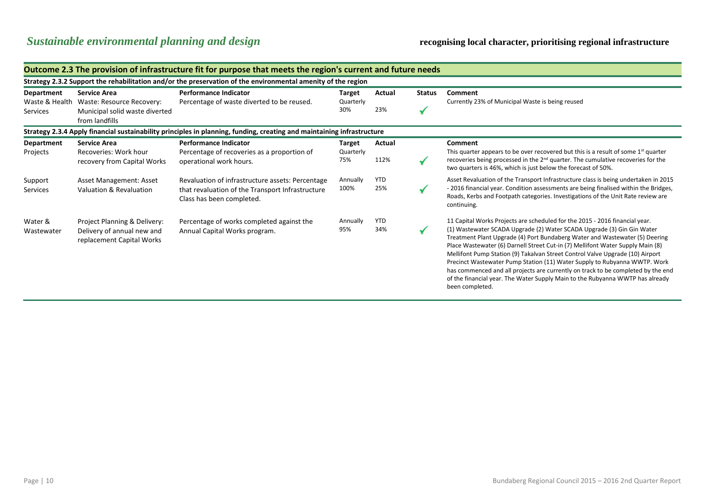## *Sustainable environmental planning and design* **recognising local character, prioritising regional infrastructure**

|                                                        | Outcome 2.3 The provision of infrastructure fit for purpose that meets the region's current and future needs |                                                                                                                                   |                            |                   |               |                                                                                                                                                                                                                                                                                                                                                                                                                                                                                                                                                                                                                                                                              |  |  |  |
|--------------------------------------------------------|--------------------------------------------------------------------------------------------------------------|-----------------------------------------------------------------------------------------------------------------------------------|----------------------------|-------------------|---------------|------------------------------------------------------------------------------------------------------------------------------------------------------------------------------------------------------------------------------------------------------------------------------------------------------------------------------------------------------------------------------------------------------------------------------------------------------------------------------------------------------------------------------------------------------------------------------------------------------------------------------------------------------------------------------|--|--|--|
|                                                        | Strategy 2.3.2 Support the rehabilitation and/or the preservation of the environmental amenity of the region |                                                                                                                                   |                            |                   |               |                                                                                                                                                                                                                                                                                                                                                                                                                                                                                                                                                                                                                                                                              |  |  |  |
| <b>Department</b><br>Waste & Health<br><b>Services</b> | <b>Service Area</b><br>Waste: Resource Recovery:<br>Municipal solid waste diverted                           | <b>Performance Indicator</b><br>Percentage of waste diverted to be reused.                                                        | Target<br>Quarterly<br>30% | Actual<br>23%     | <b>Status</b> | Comment<br>Currently 23% of Municipal Waste is being reused                                                                                                                                                                                                                                                                                                                                                                                                                                                                                                                                                                                                                  |  |  |  |
|                                                        | from landfills                                                                                               |                                                                                                                                   |                            |                   |               |                                                                                                                                                                                                                                                                                                                                                                                                                                                                                                                                                                                                                                                                              |  |  |  |
|                                                        |                                                                                                              | Strategy 2.3.4 Apply financial sustainability principles in planning, funding, creating and maintaining infrastructure            |                            |                   |               |                                                                                                                                                                                                                                                                                                                                                                                                                                                                                                                                                                                                                                                                              |  |  |  |
| Department                                             | <b>Service Area</b>                                                                                          | <b>Performance Indicator</b>                                                                                                      | Target                     | Actual            |               | Comment                                                                                                                                                                                                                                                                                                                                                                                                                                                                                                                                                                                                                                                                      |  |  |  |
| Projects                                               | Recoveries: Work hour<br>recovery from Capital Works                                                         | Percentage of recoveries as a proportion of<br>operational work hours.                                                            | Quarterly<br>75%           | 112%              |               | This quarter appears to be over recovered but this is a result of some $1st$ quarter<br>recoveries being processed in the 2 <sup>nd</sup> quarter. The cumulative recoveries for the<br>two quarters is 46%, which is just below the forecast of 50%.                                                                                                                                                                                                                                                                                                                                                                                                                        |  |  |  |
| Support<br>Services                                    | Asset Management: Asset<br>Valuation & Revaluation                                                           | Revaluation of infrastructure assets: Percentage<br>that revaluation of the Transport Infrastructure<br>Class has been completed. | Annually<br>100%           | <b>YTD</b><br>25% |               | Asset Revaluation of the Transport Infrastructure class is being undertaken in 2015<br>- 2016 financial year. Condition assessments are being finalised within the Bridges,<br>Roads, Kerbs and Footpath categories. Investigations of the Unit Rate review are<br>continuing.                                                                                                                                                                                                                                                                                                                                                                                               |  |  |  |
| Water &<br>Wastewater                                  | Project Planning & Delivery:<br>Delivery of annual new and<br>replacement Capital Works                      | Percentage of works completed against the<br>Annual Capital Works program.                                                        | Annually<br>95%            | <b>YTD</b><br>34% |               | 11 Capital Works Projects are scheduled for the 2015 - 2016 financial year.<br>(1) Wastewater SCADA Upgrade (2) Water SCADA Upgrade (3) Gin Gin Water<br>Treatment Plant Upgrade (4) Port Bundaberg Water and Wastewater (5) Deering<br>Place Wastewater (6) Darnell Street Cut-in (7) Mellifont Water Supply Main (8)<br>Mellifont Pump Station (9) Takalvan Street Control Valve Upgrade (10) Airport<br>Precinct Wastewater Pump Station (11) Water Supply to Rubyanna WWTP. Work<br>has commenced and all projects are currently on track to be completed by the end<br>of the financial year. The Water Supply Main to the Rubyanna WWTP has already<br>been completed. |  |  |  |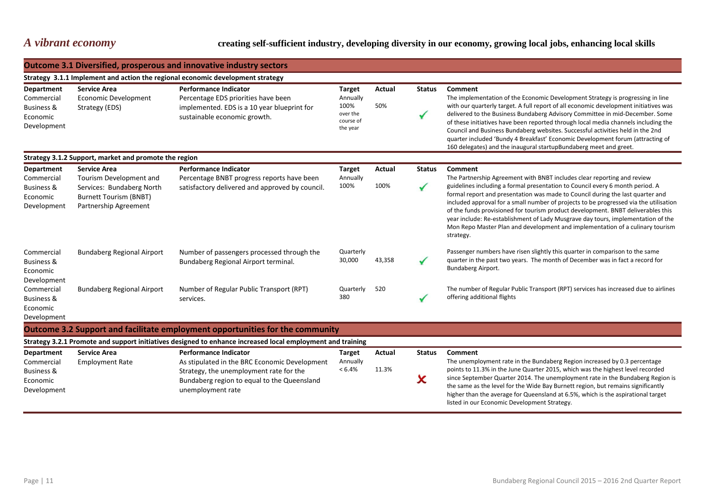### *A vibrant economy* **creating self-sufficient industry, developing diversity in our economy, growing local jobs, enhancing local skills**

|                                                                                     |                                                                                                                                       | <b>Outcome 3.1 Diversified, prosperous and innovative industry sectors</b>                                                                                                                   |                                                                        |                 |                               |                                                                                                                                                                                                                                                                                                                                                                                                                                                                                                                                                                                                                      |
|-------------------------------------------------------------------------------------|---------------------------------------------------------------------------------------------------------------------------------------|----------------------------------------------------------------------------------------------------------------------------------------------------------------------------------------------|------------------------------------------------------------------------|-----------------|-------------------------------|----------------------------------------------------------------------------------------------------------------------------------------------------------------------------------------------------------------------------------------------------------------------------------------------------------------------------------------------------------------------------------------------------------------------------------------------------------------------------------------------------------------------------------------------------------------------------------------------------------------------|
|                                                                                     |                                                                                                                                       | Strategy 3.1.1 Implement and action the regional economic development strategy                                                                                                               |                                                                        |                 |                               |                                                                                                                                                                                                                                                                                                                                                                                                                                                                                                                                                                                                                      |
| <b>Department</b><br>Commercial<br><b>Business &amp;</b><br>Economic<br>Development | <b>Service Area</b><br><b>Economic Development</b><br>Strategy (EDS)                                                                  | <b>Performance Indicator</b><br>Percentage EDS priorities have been<br>implemented. EDS is a 10 year blueprint for<br>sustainable economic growth.                                           | <b>Target</b><br>Annually<br>100%<br>over the<br>course of<br>the year | Actual<br>50%   | <b>Status</b>                 | Comment<br>The implementation of the Economic Development Strategy is progressing in line<br>with our quarterly target. A full report of all economic development initiatives was<br>delivered to the Business Bundaberg Advisory Committee in mid-December. Some<br>of these initiatives have been reported through local media channels including the<br>Council and Business Bundaberg websites. Successful activities held in the 2nd<br>quarter included 'Bundy 4 Breakfast' Economic Development forum (attracting of<br>160 delegates) and the inaugural startupBundaberg meet and greet.                     |
|                                                                                     | Strategy 3.1.2 Support, market and promote the region                                                                                 |                                                                                                                                                                                              |                                                                        |                 |                               |                                                                                                                                                                                                                                                                                                                                                                                                                                                                                                                                                                                                                      |
| <b>Department</b><br>Commercial<br><b>Business &amp;</b><br>Economic<br>Development | <b>Service Area</b><br>Tourism Development and<br>Services: Bundaberg North<br><b>Burnett Tourism (BNBT)</b><br>Partnership Agreement | <b>Performance Indicator</b><br>Percentage BNBT progress reports have been<br>satisfactory delivered and approved by council.                                                                | <b>Target</b><br>Annually<br>100%                                      | Actual<br>100%  | <b>Status</b><br>$\checkmark$ | Comment<br>The Partnership Agreement with BNBT includes clear reporting and review<br>guidelines including a formal presentation to Council every 6 month period. A<br>formal report and presentation was made to Council during the last quarter and<br>included approval for a small number of projects to be progressed via the utilisation<br>of the funds provisioned for tourism product development. BNBT deliverables this<br>year include: Re-establishment of Lady Musgrave day tours, implementation of the<br>Mon Repo Master Plan and development and implementation of a culinary tourism<br>strategy. |
| Commercial<br><b>Business &amp;</b><br>Economic<br>Development                      | <b>Bundaberg Regional Airport</b>                                                                                                     | Number of passengers processed through the<br>Bundaberg Regional Airport terminal.                                                                                                           | Quarterly<br>30,000                                                    | 43,358          |                               | Passenger numbers have risen slightly this quarter in comparison to the same<br>quarter in the past two years. The month of December was in fact a record for<br>Bundaberg Airport.                                                                                                                                                                                                                                                                                                                                                                                                                                  |
| Commercial<br><b>Business &amp;</b><br>Economic<br>Development                      | <b>Bundaberg Regional Airport</b>                                                                                                     | Number of Regular Public Transport (RPT)<br>services.                                                                                                                                        | Quarterly<br>380                                                       | 520             |                               | The number of Regular Public Transport (RPT) services has increased due to airlines<br>offering additional flights                                                                                                                                                                                                                                                                                                                                                                                                                                                                                                   |
|                                                                                     |                                                                                                                                       | Outcome 3.2 Support and facilitate employment opportunities for the community                                                                                                                |                                                                        |                 |                               |                                                                                                                                                                                                                                                                                                                                                                                                                                                                                                                                                                                                                      |
|                                                                                     |                                                                                                                                       | Strategy 3.2.1 Promote and support initiatives designed to enhance increased local employment and training                                                                                   |                                                                        |                 |                               |                                                                                                                                                                                                                                                                                                                                                                                                                                                                                                                                                                                                                      |
| <b>Department</b><br>Commercial<br><b>Business &amp;</b><br>Economic<br>Development | <b>Service Area</b><br><b>Employment Rate</b>                                                                                         | <b>Performance Indicator</b><br>As stipulated in the BRC Economic Development<br>Strategy, the unemployment rate for the<br>Bundaberg region to equal to the Queensland<br>unemployment rate | <b>Target</b><br>Annually<br>$< 6.4\%$                                 | Actual<br>11.3% | <b>Status</b><br>x            | Comment<br>The unemployment rate in the Bundaberg Region increased by 0.3 percentage<br>points to 11.3% in the June Quarter 2015, which was the highest level recorded<br>since September Quarter 2014. The unemployment rate in the Bundaberg Region is<br>the same as the level for the Wide Bay Burnett region, but remains significantly<br>higher than the average for Queensland at 6.5%, which is the aspirational target<br>listed in our Economic Development Strategy.                                                                                                                                     |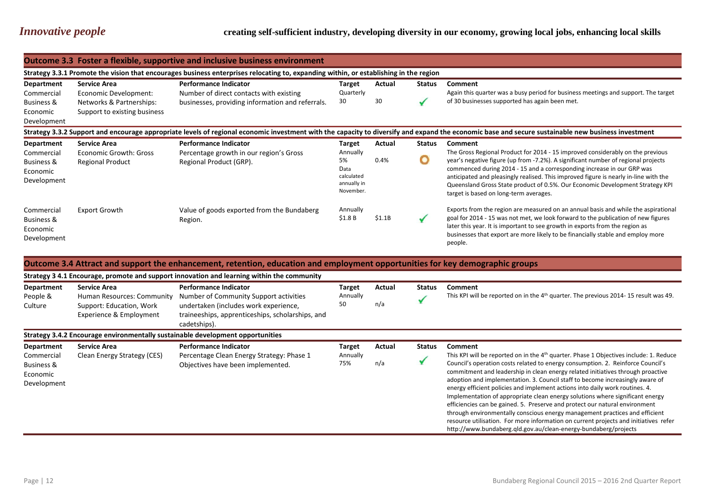|                                                                | <b>Outcome 3.3 Foster a flexible, supportive and inclusive business environment</b> |                                                                                                                                       |                                                                  |        |        |                                                                                                                                                                                                                                                                                                                                                                                                                                                                  |  |  |
|----------------------------------------------------------------|-------------------------------------------------------------------------------------|---------------------------------------------------------------------------------------------------------------------------------------|------------------------------------------------------------------|--------|--------|------------------------------------------------------------------------------------------------------------------------------------------------------------------------------------------------------------------------------------------------------------------------------------------------------------------------------------------------------------------------------------------------------------------------------------------------------------------|--|--|
|                                                                |                                                                                     | Strategy 3.3.1 Promote the vision that encourages business enterprises relocating to, expanding within, or establishing in the region |                                                                  |        |        |                                                                                                                                                                                                                                                                                                                                                                                                                                                                  |  |  |
| Department                                                     | <b>Service Area</b>                                                                 | <b>Performance Indicator</b>                                                                                                          | Target                                                           | Actual | Status | Comment                                                                                                                                                                                                                                                                                                                                                                                                                                                          |  |  |
| Commercial<br>Business &                                       | Economic Development:<br>Networks & Partnerships:                                   | Number of direct contacts with existing<br>businesses, providing information and referrals.                                           | Quarterly<br>30                                                  | 30     |        | Again this quarter was a busy period for business meetings and support. The target<br>of 30 businesses supported has again been met.                                                                                                                                                                                                                                                                                                                             |  |  |
| Economic<br>Development                                        | Support to existing business                                                        |                                                                                                                                       |                                                                  |        |        |                                                                                                                                                                                                                                                                                                                                                                                                                                                                  |  |  |
|                                                                |                                                                                     |                                                                                                                                       |                                                                  |        |        | Strategy 3.3.2 Support and encourage appropriate levels of regional economic investment with the capacity to diversify and expand the economic base and secure sustainable new business investment                                                                                                                                                                                                                                                               |  |  |
| Department                                                     | <b>Service Area</b>                                                                 | <b>Performance Indicator</b>                                                                                                          | Target                                                           | Actual | Status | <b>Comment</b>                                                                                                                                                                                                                                                                                                                                                                                                                                                   |  |  |
| Commercial<br>Business &<br>Economic<br>Development            | Economic Growth: Gross<br><b>Regional Product</b>                                   | Percentage growth in our region's Gross<br>Regional Product (GRP).                                                                    | Annually<br>5%<br>Data<br>calculated<br>annually in<br>November. | 0.4%   | O      | The Gross Regional Product for 2014 - 15 improved considerably on the previous<br>year's negative figure (up from -7.2%). A significant number of regional projects<br>commenced during 2014 - 15 and a corresponding increase in our GRP was<br>anticipated and pleasingly realised. This improved figure is nearly in-line with the<br>Queensland Gross State product of 0.5%. Our Economic Development Strategy KPI<br>target is based on long-term averages. |  |  |
| Commercial<br><b>Business &amp;</b><br>Economic<br>Development | <b>Export Growth</b>                                                                | Value of goods exported from the Bundaberg<br>Region.                                                                                 | Annually<br>\$1.8B                                               | \$1.1B |        | Exports from the region are measured on an annual basis and while the aspirational<br>goal for 2014 - 15 was not met, we look forward to the publication of new figures<br>later this year. It is important to see growth in exports from the region as<br>businesses that export are more likely to be financially stable and employ more<br>people.                                                                                                            |  |  |

|                                                                   | Outcome 3.4 Attract and support the enhancement, retention, education and employment opportunities for key demographic groups |                                                                                                                                                                                     |                                  |               |               |                                                                                                                                                                                                                                                                                                                                                                                                                                                                                                                                                                                                                                                                                                                                                                                                                                                      |  |  |  |
|-------------------------------------------------------------------|-------------------------------------------------------------------------------------------------------------------------------|-------------------------------------------------------------------------------------------------------------------------------------------------------------------------------------|----------------------------------|---------------|---------------|------------------------------------------------------------------------------------------------------------------------------------------------------------------------------------------------------------------------------------------------------------------------------------------------------------------------------------------------------------------------------------------------------------------------------------------------------------------------------------------------------------------------------------------------------------------------------------------------------------------------------------------------------------------------------------------------------------------------------------------------------------------------------------------------------------------------------------------------------|--|--|--|
|                                                                   | Strategy 3 4.1 Encourage, promote and support innovation and learning within the community                                    |                                                                                                                                                                                     |                                  |               |               |                                                                                                                                                                                                                                                                                                                                                                                                                                                                                                                                                                                                                                                                                                                                                                                                                                                      |  |  |  |
| Department<br>People &<br>Culture                                 | <b>Service Area</b><br>Human Resources: Community<br>Support: Education, Work<br>Experience & Employment                      | <b>Performance Indicator</b><br>Number of Community Support activities<br>undertaken (includes work experience,<br>traineeships, apprenticeships, scholarships, and<br>cadetships). | <b>Target</b><br>Annually<br>50  | Actual<br>n/a | <b>Status</b> | Comment<br>This KPI will be reported on in the 4 <sup>th</sup> quarter. The previous 2014-15 result was 49.                                                                                                                                                                                                                                                                                                                                                                                                                                                                                                                                                                                                                                                                                                                                          |  |  |  |
|                                                                   |                                                                                                                               | Strategy 3.4.2 Encourage environmentally sustainable development opportunities                                                                                                      |                                  |               |               |                                                                                                                                                                                                                                                                                                                                                                                                                                                                                                                                                                                                                                                                                                                                                                                                                                                      |  |  |  |
| Department<br>Commercial<br>Business &<br>Economic<br>Development | <b>Service Area</b><br>Clean Energy Strategy (CES)                                                                            | <b>Performance Indicator</b><br>Percentage Clean Energy Strategy: Phase 1<br>Objectives have been implemented.                                                                      | <b>Target</b><br>Annually<br>75% | Actual<br>n/a | <b>Status</b> | Comment<br>This KPI will be reported on in the $4th$ quarter. Phase 1 Objectives include: 1. Reduce<br>Council's operation costs related to energy consumption. 2. Reinforce Council's<br>commitment and leadership in clean energy related initiatives through proactive<br>adoption and implementation. 3. Council staff to become increasingly aware of<br>energy efficient policies and implement actions into daily work routines. 4.<br>Implementation of appropriate clean energy solutions where significant energy<br>efficiencies can be gained. 5. Preserve and protect our natural environment<br>through environmentally conscious energy management practices and efficient<br>resource utilisation. For more information on current projects and initiatives refer<br>http://www.bundaberg.qld.gov.au/clean-energy-bundaberg/projects |  |  |  |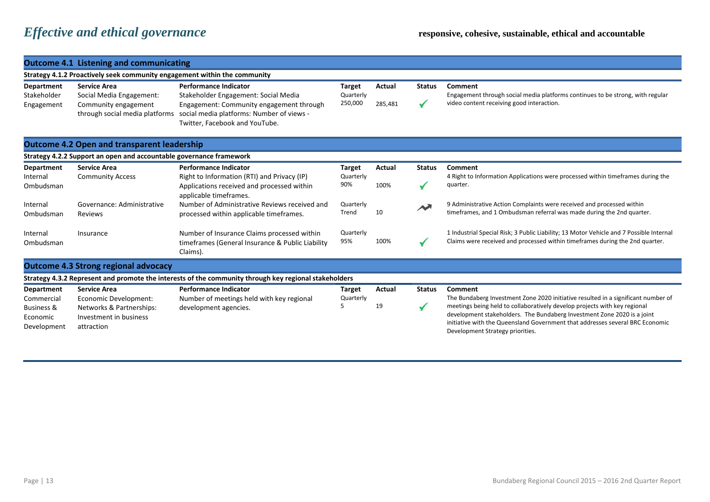| <b>Outcome 4.1 Listening and communicating</b>                            |                                                                                                           |                                                                                                                                                                                                 |                                       |                   |               |                                                                                                                                                                                                                                                                                                                                                                |  |  |
|---------------------------------------------------------------------------|-----------------------------------------------------------------------------------------------------------|-------------------------------------------------------------------------------------------------------------------------------------------------------------------------------------------------|---------------------------------------|-------------------|---------------|----------------------------------------------------------------------------------------------------------------------------------------------------------------------------------------------------------------------------------------------------------------------------------------------------------------------------------------------------------------|--|--|
| Strategy 4.1.2 Proactively seek community engagement within the community |                                                                                                           |                                                                                                                                                                                                 |                                       |                   |               |                                                                                                                                                                                                                                                                                                                                                                |  |  |
| <b>Department</b><br>Stakeholder<br>Engagement                            | <b>Service Area</b><br>Social Media Engagement:<br>Community engagement<br>through social media platforms | <b>Performance Indicator</b><br>Stakeholder Engagement: Social Media<br>Engagement: Community engagement through<br>social media platforms: Number of views -<br>Twitter, Facebook and YouTube. | <b>Target</b><br>Quarterly<br>250,000 | Actual<br>285,481 | <b>Status</b> | Comment<br>Engagement through social media platforms continues to be strong, with regular<br>video content receiving good interaction.                                                                                                                                                                                                                         |  |  |
| <b>Outcome 4.2 Open and transparent leadership</b>                        |                                                                                                           |                                                                                                                                                                                                 |                                       |                   |               |                                                                                                                                                                                                                                                                                                                                                                |  |  |
|                                                                           | Strategy 4.2.2 Support an open and accountable governance framework                                       |                                                                                                                                                                                                 |                                       |                   |               |                                                                                                                                                                                                                                                                                                                                                                |  |  |
| Department<br>Internal                                                    | <b>Service Area</b><br><b>Community Access</b>                                                            | <b>Performance Indicator</b><br>Right to Information (RTI) and Privacy (IP)                                                                                                                     | <b>Target</b><br>Quarterly            | Actual            | <b>Status</b> | Comment<br>4 Right to Information Applications were processed within timeframes during the                                                                                                                                                                                                                                                                     |  |  |
| Ombudsman                                                                 |                                                                                                           | Applications received and processed within<br>applicable timeframes.                                                                                                                            | 90%                                   | 100%              |               | quarter.                                                                                                                                                                                                                                                                                                                                                       |  |  |
| Internal<br>Ombudsman                                                     | Governance: Administrative<br>Reviews                                                                     | Number of Administrative Reviews received and<br>processed within applicable timeframes.                                                                                                        | Quarterly<br>Trend                    | 10                |               | 9 Administrative Action Complaints were received and processed within<br>timeframes, and 1 Ombudsman referral was made during the 2nd quarter.                                                                                                                                                                                                                 |  |  |
| Internal<br>Ombudsman                                                     | Insurance                                                                                                 | Number of Insurance Claims processed within<br>timeframes (General Insurance & Public Liability<br>Claims).                                                                                     | Quarterly<br>95%                      | 100%              |               | 1 Industrial Special Risk; 3 Public Liability; 13 Motor Vehicle and 7 Possible Internal<br>Claims were received and processed within timeframes during the 2nd quarter.                                                                                                                                                                                        |  |  |
|                                                                           | <b>Outcome 4.3 Strong regional advocacy</b>                                                               |                                                                                                                                                                                                 |                                       |                   |               |                                                                                                                                                                                                                                                                                                                                                                |  |  |
|                                                                           |                                                                                                           | Strategy 4.3.2 Represent and promote the interests of the community through key regional stakeholders                                                                                           |                                       |                   |               |                                                                                                                                                                                                                                                                                                                                                                |  |  |
| <b>Department</b>                                                         | <b>Service Area</b>                                                                                       | <b>Performance Indicator</b>                                                                                                                                                                    | <b>Target</b>                         | Actual            | <b>Status</b> | Comment                                                                                                                                                                                                                                                                                                                                                        |  |  |
| Commercial<br><b>Business &amp;</b><br>Economic<br>Development            | Economic Development:<br>Networks & Partnerships:<br>Investment in business<br>attraction                 | Number of meetings held with key regional<br>development agencies.                                                                                                                              | Quarterly                             | 19                |               | The Bundaberg Investment Zone 2020 initiative resulted in a significant number of<br>meetings being held to collaboratively develop projects with key regional<br>development stakeholders. The Bundaberg Investment Zone 2020 is a joint<br>initiative with the Queensland Government that addresses several BRC Economic<br>Development Strategy priorities. |  |  |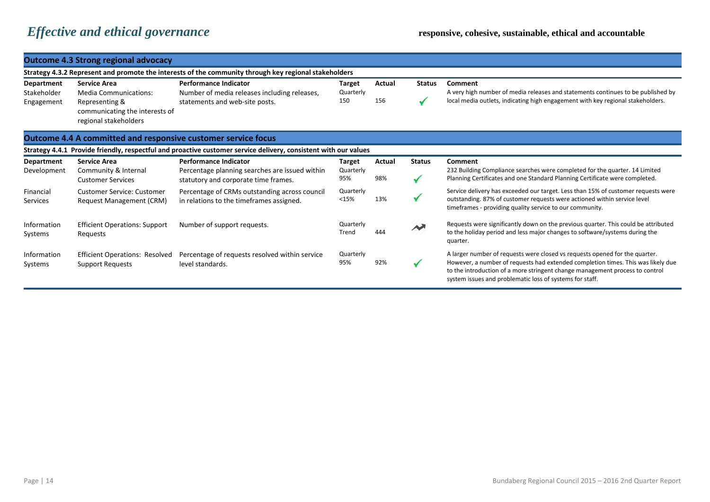### **Outcome 4.3 Strong regional advocacy**

|                                                | Strategy 4.3.2 Represent and promote the interests of the community through key regional stakeholders                            |                                                                                                                 |                            |               |                        |                                                                                                                                                                                                                                                                                                             |  |  |
|------------------------------------------------|----------------------------------------------------------------------------------------------------------------------------------|-----------------------------------------------------------------------------------------------------------------|----------------------------|---------------|------------------------|-------------------------------------------------------------------------------------------------------------------------------------------------------------------------------------------------------------------------------------------------------------------------------------------------------------|--|--|
| <b>Department</b><br>Stakeholder<br>Engagement | <b>Service Area</b><br><b>Media Communications:</b><br>Representing &<br>communicating the interests of<br>regional stakeholders | <b>Performance Indicator</b><br>Number of media releases including releases,<br>statements and web-site posts.  | Target<br>Quarterly<br>150 | Actual<br>156 | <b>Status</b>          | Comment<br>A very high number of media releases and statements continues to be published by<br>local media outlets, indicating high engagement with key regional stakeholders.                                                                                                                              |  |  |
|                                                | <b>Outcome 4.4 A committed and responsive customer service focus</b>                                                             |                                                                                                                 |                            |               |                        |                                                                                                                                                                                                                                                                                                             |  |  |
|                                                |                                                                                                                                  | Strategy 4.4.1 Provide friendly, respectful and proactive customer service delivery, consistent with our values |                            |               |                        |                                                                                                                                                                                                                                                                                                             |  |  |
| Department                                     | <b>Service Area</b>                                                                                                              | <b>Performance Indicator</b>                                                                                    | Target                     | Actual        | <b>Status</b>          | Comment                                                                                                                                                                                                                                                                                                     |  |  |
| Development                                    | Community & Internal<br><b>Customer Services</b>                                                                                 | Percentage planning searches are issued within<br>statutory and corporate time frames.                          | Quarterly<br>95%           | 98%           |                        | 232 Building Compliance searches were completed for the quarter. 14 Limited<br>Planning Certificates and one Standard Planning Certificate were completed.                                                                                                                                                  |  |  |
| Financial<br>Services                          | <b>Customer Service: Customer</b><br>Request Management (CRM)                                                                    | Percentage of CRMs outstanding across council<br>in relations to the timeframes assigned.                       | Quarterly<br><15%          | 13%           |                        | Service delivery has exceeded our target. Less than 15% of customer requests were<br>outstanding. 87% of customer requests were actioned within service level<br>timeframes - providing quality service to our community.                                                                                   |  |  |
| Information<br>Systems                         | <b>Efficient Operations: Support</b><br>Requests                                                                                 | Number of support requests.                                                                                     | Quarterly<br>Trend         | 444           | $\boldsymbol{\lambda}$ | Requests were significantly down on the previous quarter. This could be attributed<br>to the holiday period and less major changes to software/systems during the<br>quarter.                                                                                                                               |  |  |
| Information<br>Systems                         | <b>Efficient Operations: Resolved</b><br>Support Requests                                                                        | Percentage of requests resolved within service<br>level standards.                                              | Quarterly<br>95%           | 92%           |                        | A larger number of requests were closed vs requests opened for the quarter.<br>However, a number of requests had extended completion times. This was likely due<br>to the introduction of a more stringent change management process to control<br>system issues and problematic loss of systems for staff. |  |  |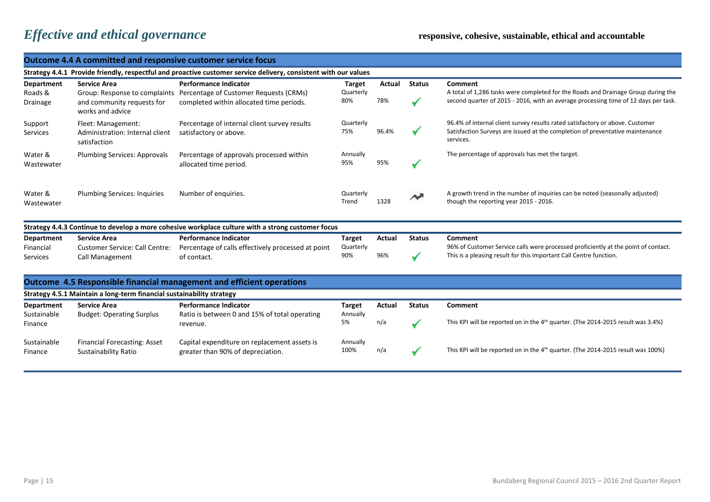| <b>Outcome 4.4 A committed and responsive customer service focus</b> |                                                                                                        |                                                                                                                    |                                   |               |                             |                                                                                                                                                                                     |  |  |
|----------------------------------------------------------------------|--------------------------------------------------------------------------------------------------------|--------------------------------------------------------------------------------------------------------------------|-----------------------------------|---------------|-----------------------------|-------------------------------------------------------------------------------------------------------------------------------------------------------------------------------------|--|--|
|                                                                      |                                                                                                        | Strategy 4.4.1 Provide friendly, respectful and proactive customer service delivery, consistent with our values    |                                   |               |                             |                                                                                                                                                                                     |  |  |
| Department<br>Roads &<br>Drainage                                    | <b>Service Area</b><br>Group: Response to complaints<br>and community requests for<br>works and advice | <b>Performance Indicator</b><br>Percentage of Customer Requests (CRMs)<br>completed within allocated time periods. | Target<br>Quarterly<br>80%        | Actual<br>78% | <b>Status</b>               | Comment<br>A total of 1,286 tasks were completed for the Roads and Drainage Group during the<br>second quarter of 2015 - 2016, with an average processing time of 12 days per task. |  |  |
| Support<br>Services                                                  | Fleet: Management:<br>Administration: Internal client<br>satisfaction                                  | Percentage of internal client survey results<br>satisfactory or above.                                             | Quarterly<br>75%                  | 96.4%         |                             | 96.4% of internal client survey results rated satisfactory or above. Customer<br>Satisfaction Surveys are issued at the completion of preventative maintenance<br>services.         |  |  |
| Water &<br>Wastewater                                                | <b>Plumbing Services: Approvals</b>                                                                    | Percentage of approvals processed within<br>allocated time period.                                                 | Annually<br>95%                   | 95%           |                             | The percentage of approvals has met the target.                                                                                                                                     |  |  |
| Water &<br>Wastewater                                                | <b>Plumbing Services: Inquiries</b>                                                                    | Number of enquiries.                                                                                               | Quarterly<br>Trend                | 1328          |                             | A growth trend in the number of inquiries can be noted (seasonally adjusted)<br>though the reporting year 2015 - 2016.                                                              |  |  |
|                                                                      |                                                                                                        | Strategy 4.4.3 Continue to develop a more cohesive workplace culture with a strong customer focus                  |                                   |               |                             |                                                                                                                                                                                     |  |  |
| <b>Department</b><br>Financial<br>Services                           | <b>Service Area</b><br><b>Customer Service: Call Centre:</b><br>Call Management                        | <b>Performance Indicator</b><br>Percentage of calls effectively processed at point<br>of contact.                  | <b>Target</b><br>Quarterly<br>90% | Actual<br>96% | <b>Status</b><br>$\sqrt{2}$ | Comment<br>96% of Customer Service calls were processed proficiently at the point of contact.<br>This is a pleasing result for this important Call Centre function.                 |  |  |
|                                                                      |                                                                                                        | <b>Outcome 4.5 Responsible financial management and efficient operations</b>                                       |                                   |               |                             |                                                                                                                                                                                     |  |  |
|                                                                      | Strategy 4.5.1 Maintain a long-term financial sustainability strategy                                  |                                                                                                                    |                                   |               |                             |                                                                                                                                                                                     |  |  |
| <b>Department</b><br>Sustainable<br>Finance                          | <b>Service Area</b><br><b>Budget: Operating Surplus</b>                                                | <b>Performance Indicator</b><br>Ratio is between 0 and 15% of total operating<br>revenue.                          | <b>Target</b><br>Annually<br>5%   | Actual<br>n/a | <b>Status</b><br>✔          | Comment<br>This KPI will be reported on in the 4 <sup>th</sup> quarter. (The 2014-2015 result was 3.4%)                                                                             |  |  |
| Sustainable<br>Finance                                               | Financial Forecasting: Asset<br><b>Sustainability Ratio</b>                                            | Capital expenditure on replacement assets is<br>greater than 90% of depreciation.                                  | Annually<br>100%                  | n/a           |                             | This KPI will be reported on in the 4 <sup>th</sup> quarter. (The 2014-2015 result was 100%)                                                                                        |  |  |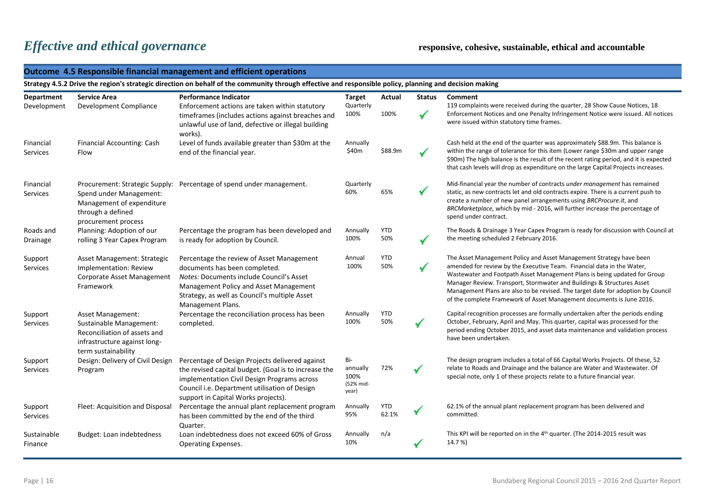|                              | Outcome 4.5 Responsible financial management and efficient operations<br>Strategy 4.5.2 Drive the region's strategic direction on behalf of the community through effective and responsible policy, planning and decision making |                                                                                                                                                                                                                                                |                                               |                     |               |                                                                                                                                                                                                                                                                                                                                                                                                                                                                   |  |  |  |
|------------------------------|----------------------------------------------------------------------------------------------------------------------------------------------------------------------------------------------------------------------------------|------------------------------------------------------------------------------------------------------------------------------------------------------------------------------------------------------------------------------------------------|-----------------------------------------------|---------------------|---------------|-------------------------------------------------------------------------------------------------------------------------------------------------------------------------------------------------------------------------------------------------------------------------------------------------------------------------------------------------------------------------------------------------------------------------------------------------------------------|--|--|--|
|                              |                                                                                                                                                                                                                                  |                                                                                                                                                                                                                                                |                                               |                     |               |                                                                                                                                                                                                                                                                                                                                                                                                                                                                   |  |  |  |
| Department                   | <b>Service Area</b>                                                                                                                                                                                                              | <b>Performance Indicator</b>                                                                                                                                                                                                                   | <b>Target</b>                                 | Actual              | <b>Status</b> | Comment                                                                                                                                                                                                                                                                                                                                                                                                                                                           |  |  |  |
| Development                  | Development Compliance                                                                                                                                                                                                           | Enforcement actions are taken within statutory<br>timeframes (includes actions against breaches and<br>unlawful use of land, defective or illegal building<br>works).                                                                          | Quarterly<br>100%                             | 100%                |               | 119 complaints were received during the quarter, 28 Show Cause Notices, 18<br>Enforcement Notices and one Penalty Infringement Notice were issued. All notices<br>were issued within statutory time frames.                                                                                                                                                                                                                                                       |  |  |  |
| Financial<br><b>Services</b> | Financial Accounting: Cash<br>Flow                                                                                                                                                                                               | Level of funds available greater than \$30m at the<br>end of the financial year.                                                                                                                                                               | Annually<br>\$40m                             | \$88.9m             |               | Cash held at the end of the quarter was approximately \$88.9m. This balance is<br>within the range of tolerance for this item (Lower range \$30m and upper range<br>\$90m) The high balance is the result of the recent rating period, and it is expected<br>that cash levels will drop as expenditure on the large Capital Projects increases.                                                                                                                   |  |  |  |
| Financial<br><b>Services</b> | Spend under Management:<br>Management of expenditure<br>through a defined<br>procurement process                                                                                                                                 | Procurement: Strategic Supply: Percentage of spend under management.                                                                                                                                                                           | Quarterly<br>60%                              | 65%                 |               | Mid-financial year the number of contracts under management has remained<br>static, as new contracts let and old contracts expire. There is a current push to<br>create a number of new panel arrangements using BRCProcure.it, and<br>BRCMarketplace, which by mid - 2016, will further increase the percentage of<br>spend under contract.                                                                                                                      |  |  |  |
| Roads and<br>Drainage        | Planning: Adoption of our<br>rolling 3 Year Capex Program                                                                                                                                                                        | Percentage the program has been developed and<br>is ready for adoption by Council.                                                                                                                                                             | Annually<br>100%                              | <b>YTD</b><br>50%   |               | The Roads & Drainage 3 Year Capex Program is ready for discussion with Council at<br>the meeting scheduled 2 February 2016.                                                                                                                                                                                                                                                                                                                                       |  |  |  |
| Support<br><b>Services</b>   | Asset Management: Strategic<br>Implementation: Review<br>Corporate Asset Management<br>Framework                                                                                                                                 | Percentage the review of Asset Management<br>documents has been completed.<br>Notes: Documents include Council's Asset<br>Management Policy and Asset Management<br>Strategy, as well as Council's multiple Asset<br>Management Plans.         | Annual<br>100%                                | <b>YTD</b><br>50%   |               | The Asset Management Policy and Asset Management Strategy have been<br>amended for review by the Executive Team. Financial data in the Water,<br>Wastewater and Footpath Asset Management Plans is being updated for Group<br>Manager Review. Transport, Stormwater and Buildings & Structures Asset<br>Management Plans are also to be revised. The target date for adoption by Council<br>of the complete Framework of Asset Management documents is June 2016. |  |  |  |
| Support<br><b>Services</b>   | Asset Management:<br>Sustainable Management:<br>Reconciliation of assets and<br>infrastructure against long-<br>term sustainability                                                                                              | Percentage the reconciliation process has been<br>completed.                                                                                                                                                                                   | Annually<br>100%                              | <b>YTD</b><br>50%   |               | Capital recognition processes are formally undertaken after the periods ending<br>October, February, April and May. This quarter, capital was processed for the<br>period ending October 2015, and asset data maintenance and validation process<br>have been undertaken.                                                                                                                                                                                         |  |  |  |
| Support<br>Services          | Design: Delivery of Civil Design<br>Program                                                                                                                                                                                      | Percentage of Design Projects delivered against<br>the revised capital budget. (Goal is to increase the<br>implementation Civil Design Programs across<br>Council i.e. Department utilisation of Design<br>support in Capital Works projects). | Bi-<br>annually<br>100%<br>(52% mid-<br>year) | 72%                 |               | The design program includes a total of 66 Capital Works Projects. Of these, 52<br>relate to Roads and Drainage and the balance are Water and Wastewater. Of<br>special note, only 1 of these projects relate to a future financial year.                                                                                                                                                                                                                          |  |  |  |
| Support<br><b>Services</b>   | Fleet: Acquisition and Disposal                                                                                                                                                                                                  | Percentage the annual plant replacement program<br>has been committed by the end of the third<br>Quarter.                                                                                                                                      | Annually<br>95%                               | <b>YTD</b><br>62.1% |               | 62.1% of the annual plant replacement program has been delivered and<br>committed.                                                                                                                                                                                                                                                                                                                                                                                |  |  |  |
| Sustainable<br>Finance       | Budget: Loan indebtedness                                                                                                                                                                                                        | Loan indebtedness does not exceed 60% of Gross<br>Operating Expenses.                                                                                                                                                                          | Annually<br>10%                               | n/a                 |               | This KPI will be reported on in the 4 <sup>th</sup> quarter. (The 2014-2015 result was<br>14.7%)                                                                                                                                                                                                                                                                                                                                                                  |  |  |  |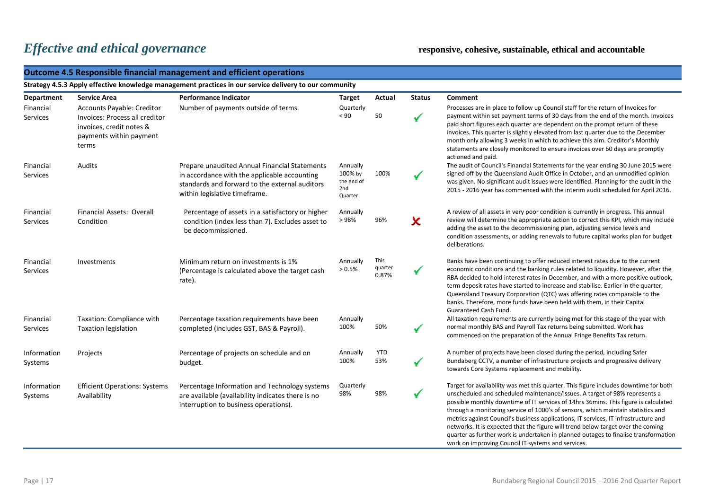|                              | <b>Outcome 4.5 Responsible financial management and efficient operations</b>                                                        |                                                                                                                                                                                  |                                                     |                          |               |                                                                                                                                                                                                                                                                                                                                                                                                                                                                                                                                  |  |  |  |
|------------------------------|-------------------------------------------------------------------------------------------------------------------------------------|----------------------------------------------------------------------------------------------------------------------------------------------------------------------------------|-----------------------------------------------------|--------------------------|---------------|----------------------------------------------------------------------------------------------------------------------------------------------------------------------------------------------------------------------------------------------------------------------------------------------------------------------------------------------------------------------------------------------------------------------------------------------------------------------------------------------------------------------------------|--|--|--|
|                              |                                                                                                                                     | Strategy 4.5.3 Apply effective knowledge management practices in our service delivery to our community                                                                           |                                                     |                          |               |                                                                                                                                                                                                                                                                                                                                                                                                                                                                                                                                  |  |  |  |
| Department                   | <b>Service Area</b>                                                                                                                 | <b>Performance Indicator</b>                                                                                                                                                     | <b>Target</b>                                       | Actual                   | <b>Status</b> | Comment                                                                                                                                                                                                                                                                                                                                                                                                                                                                                                                          |  |  |  |
| Financial<br>Services        | <b>Accounts Payable: Creditor</b><br>Invoices: Process all creditor<br>invoices, credit notes &<br>payments within payment<br>terms | Number of payments outside of terms.                                                                                                                                             | Quarterly<br>< 90                                   | 50                       | $\checkmark$  | Processes are in place to follow up Council staff for the return of Invoices for<br>payment within set payment terms of 30 days from the end of the month. Invoices<br>paid short figures each quarter are dependent on the prompt return of these<br>invoices. This quarter is slightly elevated from last quarter due to the December<br>month only allowing 3 weeks in which to achieve this aim. Creditor's Monthly<br>statements are closely monitored to ensure invoices over 60 days are promptly<br>actioned and paid.   |  |  |  |
| Financial<br>Services        | Audits                                                                                                                              | Prepare unaudited Annual Financial Statements<br>in accordance with the applicable accounting<br>standards and forward to the external auditors<br>within legislative timeframe. | Annually<br>100% by<br>the end of<br>2nd<br>Quarter | 100%                     |               | The audit of Council's Financial Statements for the year ending 30 June 2015 were<br>signed off by the Queensland Audit Office in October, and an unmodified opinion<br>was given. No significant audit issues were identified. Planning for the audit in the<br>2015 - 2016 year has commenced with the interim audit scheduled for April 2016.                                                                                                                                                                                 |  |  |  |
| Financial<br><b>Services</b> | Financial Assets: Overall<br>Condition                                                                                              | Percentage of assets in a satisfactory or higher<br>condition (index less than 7). Excludes asset to<br>be decommissioned.                                                       | Annually<br>>98%                                    | 96%                      | X             | A review of all assets in very poor condition is currently in progress. This annual<br>review will determine the appropriate action to correct this KPI, which may include<br>adding the asset to the decommissioning plan, adjusting service levels and<br>condition assessments, or adding renewals to future capital works plan for budget<br>deliberations.                                                                                                                                                                  |  |  |  |
| Financial<br>Services        | Investments                                                                                                                         | Minimum return on investments is 1%<br>(Percentage is calculated above the target cash<br>rate).                                                                                 | Annually<br>> 0.5%                                  | This<br>quarter<br>0.87% |               | Banks have been continuing to offer reduced interest rates due to the current<br>economic conditions and the banking rules related to liquidity. However, after the<br>RBA decided to hold interest rates in December, and with a more positive outlook,<br>term deposit rates have started to increase and stabilise. Earlier in the quarter,<br>Queensland Treasury Corporation (QTC) was offering rates comparable to the<br>banks. Therefore, more funds have been held with them, in their Capital<br>Guaranteed Cash Fund. |  |  |  |
| Financial<br><b>Services</b> | Taxation: Compliance with<br><b>Taxation legislation</b>                                                                            | Percentage taxation requirements have been<br>completed (includes GST, BAS & Payroll).                                                                                           | Annually<br>100%                                    | 50%                      | $\checkmark$  | All taxation requirements are currently being met for this stage of the year with<br>normal monthly BAS and Payroll Tax returns being submitted. Work has<br>commenced on the preparation of the Annual Fringe Benefits Tax return.                                                                                                                                                                                                                                                                                              |  |  |  |
| Information<br>Systems       | Projects                                                                                                                            | Percentage of projects on schedule and on<br>budget.                                                                                                                             | Annually<br>100%                                    | <b>YTD</b><br>53%        | $\checkmark$  | A number of projects have been closed during the period, including Safer<br>Bundaberg CCTV, a number of infrastructure projects and progressive delivery<br>towards Core Systems replacement and mobility.                                                                                                                                                                                                                                                                                                                       |  |  |  |
| Information<br>Systems       | <b>Efficient Operations: Systems</b><br>Availability                                                                                | Percentage Information and Technology systems<br>are available (availability indicates there is no<br>interruption to business operations).                                      | Quarterly<br>98%                                    | 98%                      | ✔             | Target for availability was met this quarter. This figure includes downtime for both<br>unscheduled and scheduled maintenance/issues. A target of 98% represents a<br>possible monthly downtime of IT services of 14hrs 36mins. This figure is calculated<br>through a monitoring service of 1000's of sensors, which maintain statistics and<br>metrics against Council's business applications, IT services, IT infrastructure and<br>networks. It is expected that the figure will trend below target over the coming         |  |  |  |

quarter as further work is undertaken in planned outages to finalise transformation

work on improving Council IT systems and services.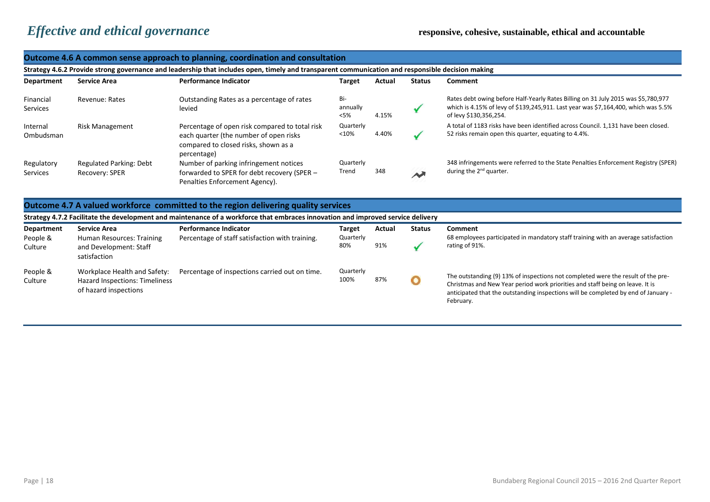Workplace Health and Safety: Hazard Inspections: Timeliness of hazard inspections

87% The outstanding (9) 13% of inspections not completed were the result of the pre-<br>Christmas and Nou York priorities and staff being on loove. It is

February.

Christmas and New Year period work priorities and staff being on leave. It is anticipated that the outstanding inspections will be completed by end of January -

|                                                                                                                                                  |                                                                                            | Outcome 4.6 A common sense approach to planning, coordination and consultation                                                                  |                            |               |               |                                                                                                                                                                                                   |  |  |
|--------------------------------------------------------------------------------------------------------------------------------------------------|--------------------------------------------------------------------------------------------|-------------------------------------------------------------------------------------------------------------------------------------------------|----------------------------|---------------|---------------|---------------------------------------------------------------------------------------------------------------------------------------------------------------------------------------------------|--|--|
| Strategy 4.6.2 Provide strong governance and leadership that includes open, timely and transparent communication and responsible decision making |                                                                                            |                                                                                                                                                 |                            |               |               |                                                                                                                                                                                                   |  |  |
| Department                                                                                                                                       | <b>Service Area</b>                                                                        | <b>Performance Indicator</b>                                                                                                                    | Target                     | Actual        | <b>Status</b> | <b>Comment</b>                                                                                                                                                                                    |  |  |
| Financial<br>Services                                                                                                                            | Revenue: Rates                                                                             | Outstanding Rates as a percentage of rates<br>levied                                                                                            | Bi-<br>annually<br>$<$ 5%  | 4.15%         | $\checkmark$  | Rates debt owing before Half-Yearly Rates Billing on 31 July 2015 was \$5,780,977<br>which is 4.15% of levy of \$139,245,911. Last year was \$7,164,400, which was 5.5%<br>of levy \$130,356,254. |  |  |
| Internal<br>Ombudsman                                                                                                                            | Risk Management                                                                            | Percentage of open risk compared to total risk<br>each quarter (the number of open risks<br>compared to closed risks, shown as a<br>percentage) | Quarterly<br>< 10%         | 4.40%         |               | A total of 1183 risks have been identified across Council. 1,131 have been closed.<br>52 risks remain open this quarter, equating to 4.4%.                                                        |  |  |
| Regulatory<br>Services                                                                                                                           | <b>Regulated Parking: Debt</b><br>Recovery: SPER                                           | Number of parking infringement notices<br>forwarded to SPER for debt recovery (SPER -<br>Penalties Enforcement Agency).                         | Quarterly<br>Trend         | 348           | $\rightarrow$ | 348 infringements were referred to the State Penalties Enforcement Registry (SPER)<br>during the $2^{nd}$ quarter.                                                                                |  |  |
|                                                                                                                                                  |                                                                                            | Outcome 4.7 A valued workforce committed to the region delivering quality services                                                              |                            |               |               |                                                                                                                                                                                                   |  |  |
|                                                                                                                                                  |                                                                                            | Strategy 4.7.2 Facilitate the development and maintenance of a workforce that embraces innovation and improved service delivery                 |                            |               |               |                                                                                                                                                                                                   |  |  |
| Department<br>People &<br>Culture                                                                                                                | <b>Service Area</b><br>Human Resources: Training<br>and Development: Staff<br>satisfaction | <b>Performance Indicator</b><br>Percentage of staff satisfaction with training.                                                                 | Target<br>Quarterly<br>80% | Actual<br>91% | <b>Status</b> | Comment<br>68 employees participated in mandatory staff training with an average satisfaction<br>rating of 91%.                                                                                   |  |  |

Percentage of inspections carried out on time. Quarterly

People & **Culture**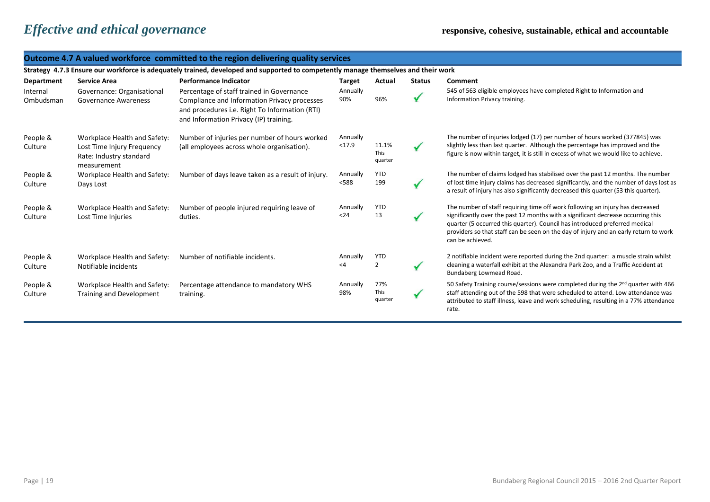|                       | <b>Outcome 4.7 A valued workforce committed to the region delivering quality services</b>            |                                                                                                                                                                                       |                      |                                 |               |                                                                                                                                                                                                                                                                                                                                                              |  |  |  |
|-----------------------|------------------------------------------------------------------------------------------------------|---------------------------------------------------------------------------------------------------------------------------------------------------------------------------------------|----------------------|---------------------------------|---------------|--------------------------------------------------------------------------------------------------------------------------------------------------------------------------------------------------------------------------------------------------------------------------------------------------------------------------------------------------------------|--|--|--|
|                       |                                                                                                      | Strategy 4.7.3 Ensure our workforce is adequately trained, developed and supported to competently manage themselves and their work                                                    |                      |                                 |               |                                                                                                                                                                                                                                                                                                                                                              |  |  |  |
| Department            | <b>Service Area</b>                                                                                  | <b>Performance Indicator</b>                                                                                                                                                          | <b>Target</b>        | Actual                          | <b>Status</b> | <b>Comment</b>                                                                                                                                                                                                                                                                                                                                               |  |  |  |
| Internal<br>Ombudsman | Governance: Organisational<br><b>Governance Awareness</b>                                            | Percentage of staff trained in Governance<br>Compliance and Information Privacy processes<br>and procedures i.e. Right To Information (RTI)<br>and Information Privacy (IP) training. | Annually<br>90%      | 96%                             |               | 545 of 563 eligible employees have completed Right to Information and<br>Information Privacy training.                                                                                                                                                                                                                                                       |  |  |  |
| People &<br>Culture   | Workplace Health and Safety:<br>Lost Time Injury Frequency<br>Rate: Industry standard<br>measurement | Number of injuries per number of hours worked<br>(all employees across whole organisation).                                                                                           | Annually<br>< 17.9   | 11.1%<br><b>This</b><br>quarter |               | The number of injuries lodged (17) per number of hours worked (377845) was<br>slightly less than last quarter. Although the percentage has improved and the<br>figure is now within target, it is still in excess of what we would like to achieve.                                                                                                          |  |  |  |
| People &<br>Culture   | Workplace Health and Safety:<br>Days Lost                                                            | Number of days leave taken as a result of injury.                                                                                                                                     | Annually<br>< 588    | <b>YTD</b><br>199               |               | The number of claims lodged has stabilised over the past 12 months. The number<br>of lost time injury claims has decreased significantly, and the number of days lost as<br>a result of injury has also significantly decreased this quarter (53 this quarter).                                                                                              |  |  |  |
| People &<br>Culture   | Workplace Health and Safety:<br>Lost Time Injuries                                                   | Number of people injured requiring leave of<br>duties.                                                                                                                                | Annually<br>$24$     | <b>YTD</b><br>13                |               | The number of staff requiring time off work following an injury has decreased<br>significantly over the past 12 months with a significant decrease occurring this<br>quarter (5 occurred this quarter). Council has introduced preferred medical<br>providers so that staff can be seen on the day of injury and an early return to work<br>can be achieved. |  |  |  |
| People &<br>Culture   | Workplace Health and Safety:<br>Notifiable incidents                                                 | Number of notifiable incidents.                                                                                                                                                       | Annually<br>$\leq 4$ | <b>YTD</b><br>2                 |               | 2 notifiable incident were reported during the 2nd quarter: a muscle strain whilst<br>cleaning a waterfall exhibit at the Alexandra Park Zoo, and a Traffic Accident at<br>Bundaberg Lowmead Road.                                                                                                                                                           |  |  |  |
| People &<br>Culture   | Workplace Health and Safety:<br><b>Training and Development</b>                                      | Percentage attendance to mandatory WHS<br>training.                                                                                                                                   | Annually<br>98%      | 77%<br>This<br>quarter          |               | 50 Safety Training course/sessions were completed during the 2 <sup>nd</sup> quarter with 466<br>staff attending out of the 598 that were scheduled to attend. Low attendance was<br>attributed to staff illness, leave and work scheduling, resulting in a 77% attendance<br>rate.                                                                          |  |  |  |